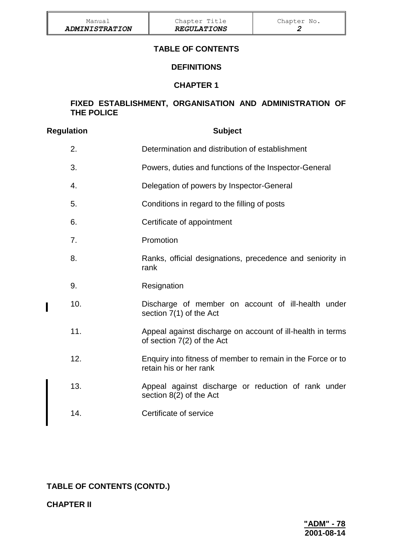## **TABLE OF CONTENTS**

### **DEFINITIONS**

## **CHAPTER 1**

#### **FIXED ESTABLISHMENT, ORGANISATION AND ADMINISTRATION OF THE POLICE**

| <b>Regulation</b> |     | <b>Subject</b>                                                                           |
|-------------------|-----|------------------------------------------------------------------------------------------|
|                   | 2.  | Determination and distribution of establishment                                          |
|                   | 3.  | Powers, duties and functions of the Inspector-General                                    |
|                   | 4.  | Delegation of powers by Inspector-General                                                |
|                   | 5.  | Conditions in regard to the filling of posts                                             |
|                   | 6.  | Certificate of appointment                                                               |
|                   | 7.  | Promotion                                                                                |
|                   | 8.  | Ranks, official designations, precedence and seniority in<br>rank                        |
|                   | 9.  | Resignation                                                                              |
|                   | 10. | Discharge of member on account of ill-health under<br>section 7(1) of the Act            |
|                   | 11. | Appeal against discharge on account of ill-health in terms<br>of section 7(2) of the Act |
|                   | 12. | Enquiry into fitness of member to remain in the Force or to<br>retain his or her rank    |
|                   | 13. | Appeal against discharge or reduction of rank under<br>section 8(2) of the Act           |
|                   | 14. | Certificate of service                                                                   |

## **TABLE OF CONTENTS (CONTD.)**

**CHAPTER II**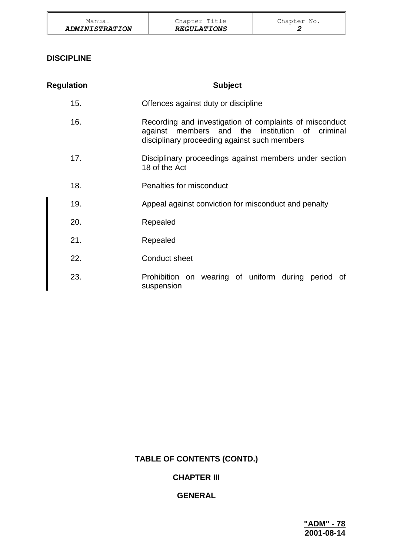| Manual                | Chapter Title      | Chapter No. |
|-----------------------|--------------------|-------------|
| <b>ADMINISTRATION</b> | <b>REGULATIONS</b> |             |

## **DISCIPLINE**

| <b>Regulation</b> | <b>Subject</b>                                                                                                                                                |
|-------------------|---------------------------------------------------------------------------------------------------------------------------------------------------------------|
| 15.               | Offences against duty or discipline                                                                                                                           |
| 16.               | Recording and investigation of complaints of misconduct<br>against members and the institution of<br>criminal<br>disciplinary proceeding against such members |
| 17.               | Disciplinary proceedings against members under section<br>18 of the Act                                                                                       |
| 18.               | Penalties for misconduct                                                                                                                                      |
| 19.               | Appeal against conviction for misconduct and penalty                                                                                                          |
| 20.               | Repealed                                                                                                                                                      |
| 21.               | Repealed                                                                                                                                                      |
| 22.               | <b>Conduct sheet</b>                                                                                                                                          |
| 23.               | Prohibition on wearing of uniform during period of<br>suspension                                                                                              |

# **TABLE OF CONTENTS (CONTD.)**

## **CHAPTER III**

# **GENERAL**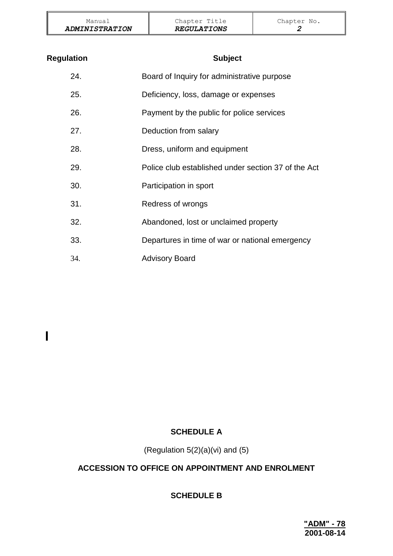| Manual                       | Chapter Title      | Chapter No. |
|------------------------------|--------------------|-------------|
| <i><b>ADMINISTRATION</b></i> | <b>REGULATIONS</b> |             |

| <b>Regulation</b> | <b>Subject</b>                                      |
|-------------------|-----------------------------------------------------|
| 24.               | Board of Inquiry for administrative purpose         |
| 25.               | Deficiency, loss, damage or expenses                |
| 26.               | Payment by the public for police services           |
| 27.               | Deduction from salary                               |
| 28.               | Dress, uniform and equipment                        |
| 29.               | Police club established under section 37 of the Act |
| 30.               | Participation in sport                              |
| 31.               | Redress of wrongs                                   |
| 32.               | Abandoned, lost or unclaimed property               |
| 33.               | Departures in time of war or national emergency     |
| 34.               | <b>Advisory Board</b>                               |

# **SCHEDULE A**

 $\overline{\phantom{a}}$ 

(Regulation  $5(2)(a)(vi)$  and  $(5)$ 

# **ACCESSION TO OFFICE ON APPOINTMENT AND ENROLMENT**

## **SCHEDULE B**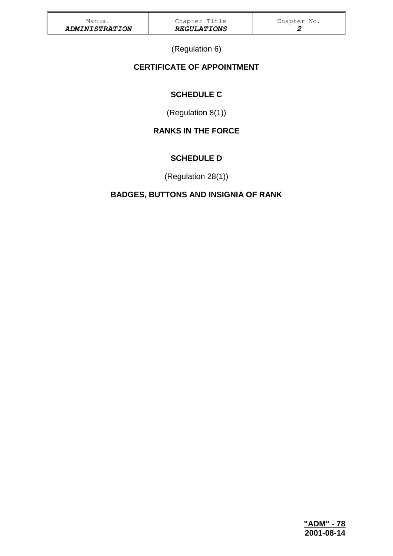(Regulation 6)

# **CERTIFICATE OF APPOINTMENT**

# **SCHEDULE C**

(Regulation 8(1))

# **RANKS IN THE FORCE**

# **SCHEDULE D**

(Regulation 28(1))

# **BADGES, BUTTONS AND INSIGNIA OF RANK**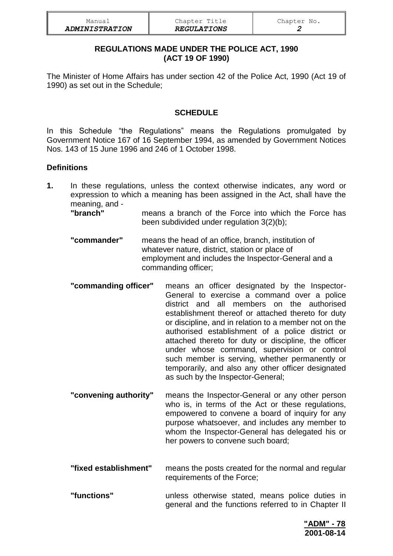| Manual                | Chapter Title             | Chapter No. |
|-----------------------|---------------------------|-------------|
| <b>ADMINISTRATION</b> | <i><b>REGULATIONS</b></i> |             |

### **REGULATIONS MADE UNDER THE POLICE ACT, 1990 (ACT 19 OF 1990)**

The Minister of Home Affairs has under section 42 of the Police Act, 1990 (Act 19 of 1990) as set out in the Schedule;

### **SCHEDULE**

In this Schedule "the Regulations" means the Regulations promulgated by Government Notice 167 of 16 September 1994, as amended by Government Notices Nos. 143 of 15 June 1996 and 246 of 1 October 1998.

#### **Definitions**

**1.** In these regulations, unless the context otherwise indicates, any word or expression to which a meaning has been assigned in the Act, shall have the meaning, and -

**"branch"** means a branch of the Force into which the Force has been subdivided under regulation 3(2)(b);

- **"commander"** means the head of an office, branch, institution of whatever nature, district, station or place of employment and includes the Inspector-General and a commanding officer;
- **"commanding officer"** means an officer designated by the Inspector-General to exercise a command over a police district and all members on the authorised establishment thereof or attached thereto for duty or discipline, and in relation to a member not on the authorised establishment of a police district or attached thereto for duty or discipline, the officer under whose command, supervision or control such member is serving, whether permanently or temporarily, and also any other officer designated as such by the Inspector-General;
- **"convening authority"** means the Inspector-General or any other person who is, in terms of the Act or these regulations, empowered to convene a board of inquiry for any purpose whatsoever, and includes any member to whom the Inspector-General has delegated his or her powers to convene such board;
- **"fixed establishment"** means the posts created for the normal and regular requirements of the Force;
- **"functions"** unless otherwise stated, means police duties in general and the functions referred to in Chapter II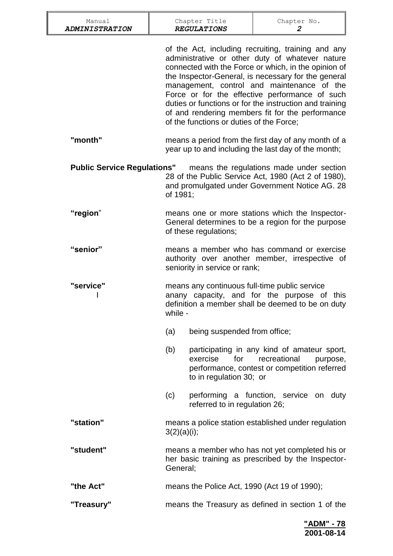| Manual<br><b>ADMINISTRATION</b>    |             | Chapter Title<br><b>REGULATIONS</b>                                                                                                                             | Chapter No.<br>2                                                                                                                                                                                                                                                                                                                                                                                                                    |  |
|------------------------------------|-------------|-----------------------------------------------------------------------------------------------------------------------------------------------------------------|-------------------------------------------------------------------------------------------------------------------------------------------------------------------------------------------------------------------------------------------------------------------------------------------------------------------------------------------------------------------------------------------------------------------------------------|--|
|                                    |             | of the functions or duties of the Force;                                                                                                                        | of the Act, including recruiting, training and any<br>administrative or other duty of whatever nature<br>connected with the Force or which, in the opinion of<br>the Inspector-General, is necessary for the general<br>management, control and maintenance of the<br>Force or for the effective performance of such<br>duties or functions or for the instruction and training<br>of and rendering members fit for the performance |  |
| "month"                            |             | means a period from the first day of any month of a<br>year up to and including the last day of the month;                                                      |                                                                                                                                                                                                                                                                                                                                                                                                                                     |  |
| <b>Public Service Regulations"</b> | of 1981;    |                                                                                                                                                                 | means the regulations made under section<br>28 of the Public Service Act, 1980 (Act 2 of 1980),<br>and promulgated under Government Notice AG. 28                                                                                                                                                                                                                                                                                   |  |
| "region"                           |             | means one or more stations which the Inspector-<br>General determines to be a region for the purpose<br>of these regulations;                                   |                                                                                                                                                                                                                                                                                                                                                                                                                                     |  |
| "senior"                           |             | means a member who has command or exercise<br>authority over another member, irrespective of<br>seniority in service or rank;                                   |                                                                                                                                                                                                                                                                                                                                                                                                                                     |  |
| "service"                          |             | means any continuous full-time public service<br>anany capacity, and for the purpose of<br>this<br>definition a member shall be deemed to be on duty<br>while - |                                                                                                                                                                                                                                                                                                                                                                                                                                     |  |
|                                    | (a)         | being suspended from office;                                                                                                                                    |                                                                                                                                                                                                                                                                                                                                                                                                                                     |  |
|                                    | (b)         | exercise<br>for<br>to in regulation 30; or                                                                                                                      | participating in any kind of amateur sport,<br>recreational<br>purpose,<br>performance, contest or competition referred                                                                                                                                                                                                                                                                                                             |  |
|                                    | (c)         | referred to in regulation 26;                                                                                                                                   | performing a function, service on duty                                                                                                                                                                                                                                                                                                                                                                                              |  |
| "station"                          | 3(2)(a)(i); |                                                                                                                                                                 | means a police station established under regulation                                                                                                                                                                                                                                                                                                                                                                                 |  |
| "student"                          | General;    |                                                                                                                                                                 | means a member who has not yet completed his or<br>her basic training as prescribed by the Inspector-                                                                                                                                                                                                                                                                                                                               |  |
| "the Act"                          |             |                                                                                                                                                                 | means the Police Act, 1990 (Act 19 of 1990);                                                                                                                                                                                                                                                                                                                                                                                        |  |
| "Treasury"                         |             |                                                                                                                                                                 | means the Treasury as defined in section 1 of the                                                                                                                                                                                                                                                                                                                                                                                   |  |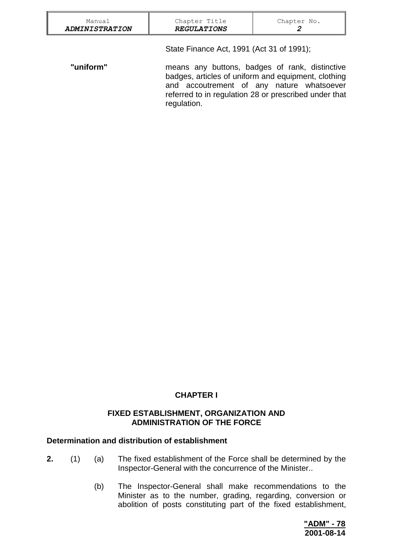| Manual<br><b>ADMINISTRATION</b> | Chapter Title<br><b>REGULATIONS</b>       | Chapter No.<br>2                                                                                                                                                                                            |
|---------------------------------|-------------------------------------------|-------------------------------------------------------------------------------------------------------------------------------------------------------------------------------------------------------------|
|                                 | State Finance Act, 1991 (Act 31 of 1991); |                                                                                                                                                                                                             |
| "uniform"                       | regulation.                               | means any buttons, badges of rank, distinctive<br>badges, articles of uniform and equipment, clothing<br>and accoutrement of any nature whatsoever<br>referred to in regulation 28 or prescribed under that |

## **CHAPTER I**

#### **FIXED ESTABLISHMENT, ORGANIZATION AND ADMINISTRATION OF THE FORCE**

#### **Determination and distribution of establishment**

- **2.** (1) (a) The fixed establishment of the Force shall be determined by the Inspector-General with the concurrence of the Minister..
	- (b) The Inspector-General shall make recommendations to the Minister as to the number, grading, regarding, conversion or abolition of posts constituting part of the fixed establishment,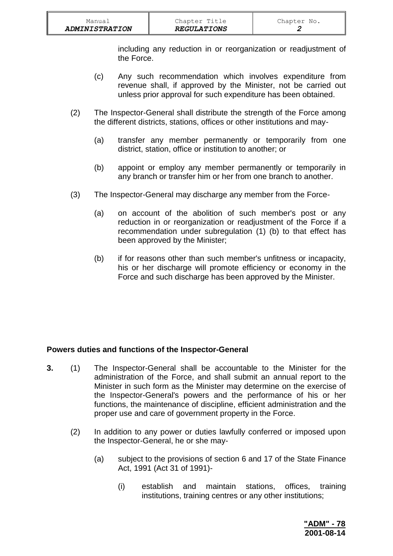including any reduction in or reorganization or readjustment of the Force.

- (c) Any such recommendation which involves expenditure from revenue shall, if approved by the Minister, not be carried out unless prior approval for such expenditure has been obtained.
- (2) The Inspector-General shall distribute the strength of the Force among the different districts, stations, offices or other institutions and may-
	- (a) transfer any member permanently or temporarily from one district, station, office or institution to another; or
	- (b) appoint or employ any member permanently or temporarily in any branch or transfer him or her from one branch to another.
- (3) The Inspector-General may discharge any member from the Force-
	- (a) on account of the abolition of such member's post or any reduction in or reorganization or readjustment of the Force if a recommendation under subregulation (1) (b) to that effect has been approved by the Minister;
	- (b) if for reasons other than such member's unfitness or incapacity, his or her discharge will promote efficiency or economy in the Force and such discharge has been approved by the Minister.

## **Powers duties and functions of the Inspector-General**

- **3.** (1) The Inspector-General shall be accountable to the Minister for the administration of the Force, and shall submit an annual report to the Minister in such form as the Minister may determine on the exercise of the Inspector-General's powers and the performance of his or her functions, the maintenance of discipline, efficient administration and the proper use and care of government property in the Force.
	- (2) In addition to any power or duties lawfully conferred or imposed upon the Inspector-General, he or she may-
		- (a) subject to the provisions of section 6 and 17 of the State Finance Act, 1991 (Act 31 of 1991)-
			- (i) establish and maintain stations, offices, training institutions, training centres or any other institutions;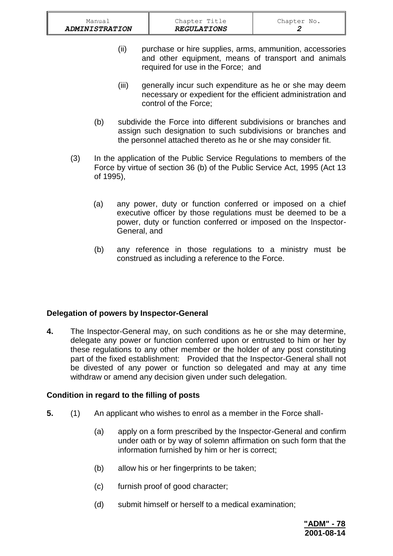- (ii) purchase or hire supplies, arms, ammunition, accessories and other equipment, means of transport and animals required for use in the Force; and
- (iii) generally incur such expenditure as he or she may deem necessary or expedient for the efficient administration and control of the Force;
- (b) subdivide the Force into different subdivisions or branches and assign such designation to such subdivisions or branches and the personnel attached thereto as he or she may consider fit.
- (3) In the application of the Public Service Regulations to members of the Force by virtue of section 36 (b) of the Public Service Act, 1995 (Act 13 of 1995),
	- (a) any power, duty or function conferred or imposed on a chief executive officer by those regulations must be deemed to be a power, duty or function conferred or imposed on the Inspector-General, and
	- (b) any reference in those regulations to a ministry must be construed as including a reference to the Force.

## **Delegation of powers by Inspector-General**

**4.** The Inspector-General may, on such conditions as he or she may determine, delegate any power or function conferred upon or entrusted to him or her by these regulations to any other member or the holder of any post constituting part of the fixed establishment: Provided that the Inspector-General shall not be divested of any power or function so delegated and may at any time withdraw or amend any decision given under such delegation.

## **Condition in regard to the filling of posts**

- **5.** (1) An applicant who wishes to enrol as a member in the Force shall-
	- (a) apply on a form prescribed by the Inspector-General and confirm under oath or by way of solemn affirmation on such form that the information furnished by him or her is correct;
	- (b) allow his or her fingerprints to be taken;
	- (c) furnish proof of good character;
	- (d) submit himself or herself to a medical examination;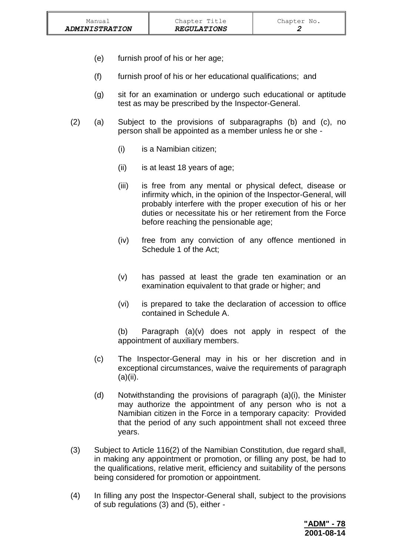- (e) furnish proof of his or her age;
- (f) furnish proof of his or her educational qualifications; and
- (g) sit for an examination or undergo such educational or aptitude test as may be prescribed by the Inspector-General.
- (2) (a) Subject to the provisions of subparagraphs (b) and (c), no person shall be appointed as a member unless he or she -
	- (i) is a Namibian citizen;
	- (ii) is at least 18 years of age;
	- (iii) is free from any mental or physical defect, disease or infirmity which, in the opinion of the Inspector-General, will probably interfere with the proper execution of his or her duties or necessitate his or her retirement from the Force before reaching the pensionable age;
	- (iv) free from any conviction of any offence mentioned in Schedule 1 of the Act;
	- (v) has passed at least the grade ten examination or an examination equivalent to that grade or higher; and
	- (vi) is prepared to take the declaration of accession to office contained in Schedule A.

(b) Paragraph (a)(v) does not apply in respect of the appointment of auxiliary members.

- (c) The Inspector-General may in his or her discretion and in exceptional circumstances, waive the requirements of paragraph  $(a)(ii)$ .
- (d) Notwithstanding the provisions of paragraph (a)(i), the Minister may authorize the appointment of any person who is not a Namibian citizen in the Force in a temporary capacity: Provided that the period of any such appointment shall not exceed three years.
- (3) Subject to Article 116(2) of the Namibian Constitution, due regard shall, in making any appointment or promotion, or filling any post, be had to the qualifications, relative merit, efficiency and suitability of the persons being considered for promotion or appointment.
- (4) In filling any post the Inspector-General shall, subject to the provisions of sub regulations (3) and (5), either -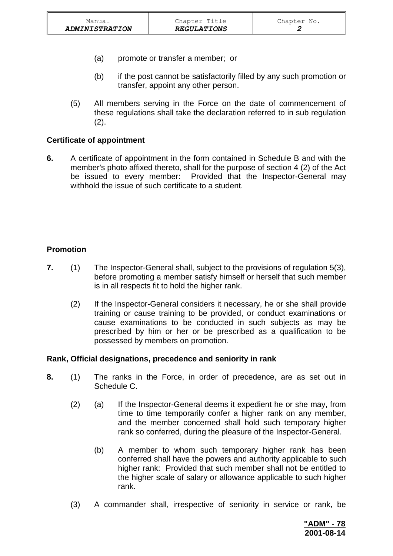- (a) promote or transfer a member; or
- (b) if the post cannot be satisfactorily filled by any such promotion or transfer, appoint any other person.
- (5) All members serving in the Force on the date of commencement of these regulations shall take the declaration referred to in sub regulation  $(2).$

### **Certificate of appointment**

**6.** A certificate of appointment in the form contained in Schedule B and with the member's photo affixed thereto, shall for the purpose of section 4 (2) of the Act be issued to every member: Provided that the Inspector-General may withhold the issue of such certificate to a student.

## **Promotion**

- **7.** (1) The Inspector-General shall, subject to the provisions of regulation 5(3), before promoting a member satisfy himself or herself that such member is in all respects fit to hold the higher rank.
	- (2) If the Inspector-General considers it necessary, he or she shall provide training or cause training to be provided, or conduct examinations or cause examinations to be conducted in such subjects as may be prescribed by him or her or be prescribed as a qualification to be possessed by members on promotion.

#### **Rank, Official designations, precedence and seniority in rank**

- **8.** (1) The ranks in the Force, in order of precedence, are as set out in Schedule C.
	- (2) (a) If the Inspector-General deems it expedient he or she may, from time to time temporarily confer a higher rank on any member, and the member concerned shall hold such temporary higher rank so conferred, during the pleasure of the Inspector-General.
		- (b) A member to whom such temporary higher rank has been conferred shall have the powers and authority applicable to such higher rank: Provided that such member shall not be entitled to the higher scale of salary or allowance applicable to such higher rank.
	- (3) A commander shall, irrespective of seniority in service or rank, be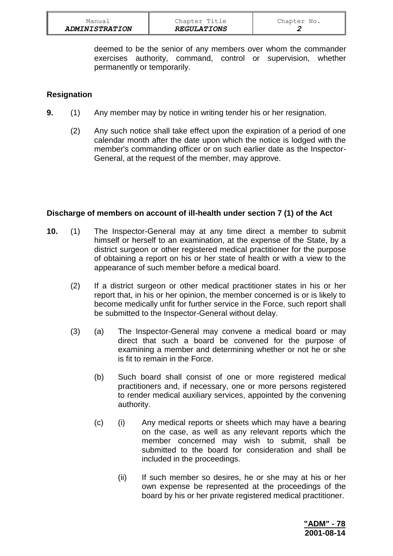| Manual                       | Chapter Title      | Chapter No. |
|------------------------------|--------------------|-------------|
| <i><b>ADMINISTRATION</b></i> | <b>REGULATIONS</b> |             |

deemed to be the senior of any members over whom the commander exercises authority, command, control or supervision, whether permanently or temporarily.

### **Resignation**

- **9.** (1) Any member may by notice in writing tender his or her resignation.
	- (2) Any such notice shall take effect upon the expiration of a period of one calendar month after the date upon which the notice is lodged with the member's commanding officer or on such earlier date as the Inspector-General, at the request of the member, may approve.

#### **Discharge of members on account of ill-health under section 7 (1) of the Act**

- **10.** (1) The Inspector-General may at any time direct a member to submit himself or herself to an examination, at the expense of the State, by a district surgeon or other registered medical practitioner for the purpose of obtaining a report on his or her state of health or with a view to the appearance of such member before a medical board.
	- (2) If a district surgeon or other medical practitioner states in his or her report that, in his or her opinion, the member concerned is or is likely to become medically unfit for further service in the Force, such report shall be submitted to the Inspector-General without delay.
	- (3) (a) The Inspector-General may convene a medical board or may direct that such a board be convened for the purpose of examining a member and determining whether or not he or she is fit to remain in the Force.
		- (b) Such board shall consist of one or more registered medical practitioners and, if necessary, one or more persons registered to render medical auxiliary services, appointed by the convening authority.
		- (c) (i) Any medical reports or sheets which may have a bearing on the case, as well as any relevant reports which the member concerned may wish to submit, shall be submitted to the board for consideration and shall be included in the proceedings.
			- (ii) If such member so desires, he or she may at his or her own expense be represented at the proceedings of the board by his or her private registered medical practitioner.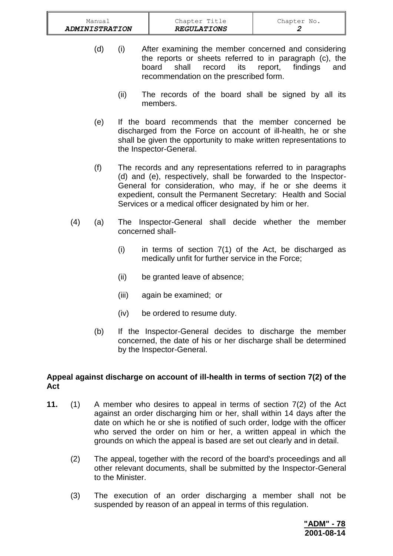| Manual                | Chapter Title             | Chapter No. |
|-----------------------|---------------------------|-------------|
| <b>ADMINISTRATION</b> | <i><b>REGULATIONS</b></i> |             |

- (d) (i) After examining the member concerned and considering the reports or sheets referred to in paragraph (c), the board shall record its report, findings and recommendation on the prescribed form.
	- (ii) The records of the board shall be signed by all its members.
- (e) If the board recommends that the member concerned be discharged from the Force on account of ill-health, he or she shall be given the opportunity to make written representations to the Inspector-General.
- (f) The records and any representations referred to in paragraphs (d) and (e), respectively, shall be forwarded to the Inspector-General for consideration, who may, if he or she deems it expedient, consult the Permanent Secretary: Health and Social Services or a medical officer designated by him or her.
- (4) (a) The Inspector-General shall decide whether the member concerned shall-
	- (i) in terms of section 7(1) of the Act, be discharged as medically unfit for further service in the Force;
	- (ii) be granted leave of absence;
	- (iii) again be examined; or
	- (iv) be ordered to resume duty.
	- (b) If the Inspector-General decides to discharge the member concerned, the date of his or her discharge shall be determined by the Inspector-General.

### **Appeal against discharge on account of ill-health in terms of section 7(2) of the Act**

- **11.** (1) A member who desires to appeal in terms of section 7(2) of the Act against an order discharging him or her, shall within 14 days after the date on which he or she is notified of such order, lodge with the officer who served the order on him or her, a written appeal in which the grounds on which the appeal is based are set out clearly and in detail.
	- (2) The appeal, together with the record of the board's proceedings and all other relevant documents, shall be submitted by the Inspector-General to the Minister.
	- (3) The execution of an order discharging a member shall not be suspended by reason of an appeal in terms of this regulation.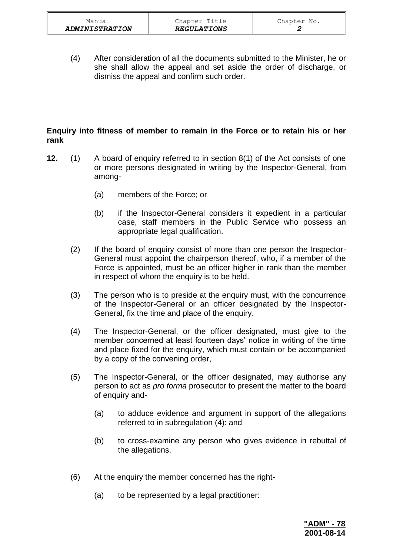(4) After consideration of all the documents submitted to the Minister, he or she shall allow the appeal and set aside the order of discharge, or dismiss the appeal and confirm such order.

## **Enquiry into fitness of member to remain in the Force or to retain his or her rank**

- **12.** (1) A board of enquiry referred to in section 8(1) of the Act consists of one or more persons designated in writing by the Inspector-General, from among-
	- (a) members of the Force; or
	- (b) if the Inspector-General considers it expedient in a particular case, staff members in the Public Service who possess an appropriate legal qualification.
	- (2) If the board of enquiry consist of more than one person the Inspector-General must appoint the chairperson thereof, who, if a member of the Force is appointed, must be an officer higher in rank than the member in respect of whom the enquiry is to be held.
	- (3) The person who is to preside at the enquiry must, with the concurrence of the Inspector-General or an officer designated by the Inspector-General, fix the time and place of the enquiry.
	- (4) The Inspector-General, or the officer designated, must give to the member concerned at least fourteen days' notice in writing of the time and place fixed for the enquiry, which must contain or be accompanied by a copy of the convening order,
	- (5) The Inspector-General, or the officer designated, may authorise any person to act as *pro forma* prosecutor to present the matter to the board of enquiry and-
		- (a) to adduce evidence and argument in support of the allegations referred to in subregulation (4): and
		- (b) to cross-examine any person who gives evidence in rebuttal of the allegations.
	- (6) At the enquiry the member concerned has the right-
		- (a) to be represented by a legal practitioner: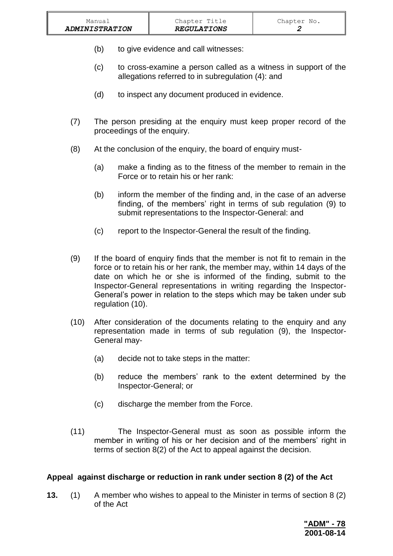- (b) to give evidence and call witnesses:
- (c) to cross-examine a person called as a witness in support of the allegations referred to in subregulation (4): and
- (d) to inspect any document produced in evidence.
- (7) The person presiding at the enquiry must keep proper record of the proceedings of the enquiry.
- (8) At the conclusion of the enquiry, the board of enquiry must-
	- (a) make a finding as to the fitness of the member to remain in the Force or to retain his or her rank:
	- (b) inform the member of the finding and, in the case of an adverse finding, of the members' right in terms of sub regulation (9) to submit representations to the Inspector-General: and
	- (c) report to the Inspector-General the result of the finding.
- (9) If the board of enquiry finds that the member is not fit to remain in the force or to retain his or her rank, the member may, within 14 days of the date on which he or she is informed of the finding, submit to the Inspector-General representations in writing regarding the Inspector-General's power in relation to the steps which may be taken under sub regulation (10).
- (10) After consideration of the documents relating to the enquiry and any representation made in terms of sub regulation (9), the Inspector-General may-
	- (a) decide not to take steps in the matter:
	- (b) reduce the members' rank to the extent determined by the Inspector-General; or
	- (c) discharge the member from the Force.
- (11) The Inspector-General must as soon as possible inform the member in writing of his or her decision and of the members' right in terms of section 8(2) of the Act to appeal against the decision.

## **Appeal against discharge or reduction in rank under section 8 (2) of the Act**

**13.** (1) A member who wishes to appeal to the Minister in terms of section 8 (2) of the Act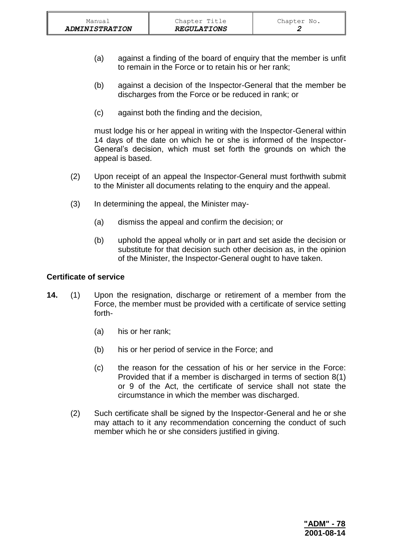- (a) against a finding of the board of enquiry that the member is unfit to remain in the Force or to retain his or her rank;
- (b) against a decision of the Inspector-General that the member be discharges from the Force or be reduced in rank; or
- (c) against both the finding and the decision,

must lodge his or her appeal in writing with the Inspector-General within 14 days of the date on which he or she is informed of the Inspector-General's decision, which must set forth the grounds on which the appeal is based.

- (2) Upon receipt of an appeal the Inspector-General must forthwith submit to the Minister all documents relating to the enquiry and the appeal.
- (3) In determining the appeal, the Minister may-
	- (a) dismiss the appeal and confirm the decision; or
	- (b) uphold the appeal wholly or in part and set aside the decision or substitute for that decision such other decision as, in the opinion of the Minister, the Inspector-General ought to have taken.

## **Certificate of service**

- **14.** (1) Upon the resignation, discharge or retirement of a member from the Force, the member must be provided with a certificate of service setting forth-
	- (a) his or her rank;
	- (b) his or her period of service in the Force; and
	- (c) the reason for the cessation of his or her service in the Force: Provided that if a member is discharged in terms of section 8(1) or 9 of the Act, the certificate of service shall not state the circumstance in which the member was discharged.
	- (2) Such certificate shall be signed by the Inspector-General and he or she may attach to it any recommendation concerning the conduct of such member which he or she considers justified in giving.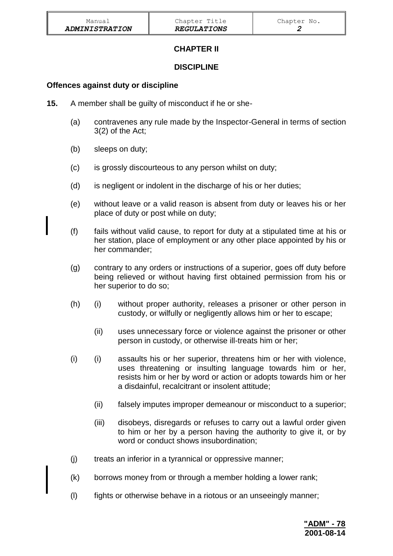## **CHAPTER II**

## **DISCIPLINE**

## **Offences against duty or discipline**

- **15.** A member shall be guilty of misconduct if he or she-
	- (a) contravenes any rule made by the Inspector-General in terms of section 3(2) of the Act;
	- (b) sleeps on duty;
	- (c) is grossly discourteous to any person whilst on duty;
	- (d) is negligent or indolent in the discharge of his or her duties;
	- (e) without leave or a valid reason is absent from duty or leaves his or her place of duty or post while on duty;
	- (f) fails without valid cause, to report for duty at a stipulated time at his or her station, place of employment or any other place appointed by his or her commander;
	- (g) contrary to any orders or instructions of a superior, goes off duty before being relieved or without having first obtained permission from his or her superior to do so;
	- (h) (i) without proper authority, releases a prisoner or other person in custody, or wilfully or negligently allows him or her to escape;
		- (ii) uses unnecessary force or violence against the prisoner or other person in custody, or otherwise ill-treats him or her;
	- (i) (i) assaults his or her superior, threatens him or her with violence, uses threatening or insulting language towards him or her, resists him or her by word or action or adopts towards him or her a disdainful, recalcitrant or insolent attitude;
		- (ii) falsely imputes improper demeanour or misconduct to a superior;
		- (iii) disobeys, disregards or refuses to carry out a lawful order given to him or her by a person having the authority to give it, or by word or conduct shows insubordination;
	- (j) treats an inferior in a tyrannical or oppressive manner;
	- (k) borrows money from or through a member holding a lower rank;
	- (l) fights or otherwise behave in a riotous or an unseeingly manner;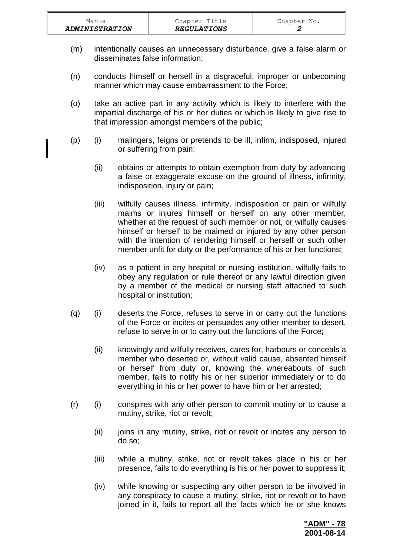| Manual                | Chapter Title      | Chapter No. |
|-----------------------|--------------------|-------------|
| <b>ADMINISTRATION</b> | <b>REGULATIONS</b> |             |

- (m) intentionally causes an unnecessary disturbance, give a false alarm or disseminates false information;
- (n) conducts himself or herself in a disgraceful, improper or unbecoming manner which may cause embarrassment to the Force;
- (o) take an active part in any activity which is likely to interfere with the impartial discharge of his or her duties or which is likely to give rise to that impression amongst members of the public;
- (p) (i) malingers, feigns or pretends to be ill, infirm, indisposed, injured or suffering from pain;
	- (ii) obtains or attempts to obtain exemption from duty by advancing a false or exaggerate excuse on the ground of illness, infirmity, indisposition, injury or pain;
	- (iii) wilfully causes illness, infirmity, indisposition or pain or wilfully maims or injures himself or herself on any other member, whether at the request of such member or not, or wilfully causes himself or herself to be maimed or injured by any other person with the intention of rendering himself or herself or such other member unfit for duty or the performance of his or her functions;
	- (iv) as a patient in any hospital or nursing institution, wilfully fails to obey any regulation or rule thereof or any lawful direction given by a member of the medical or nursing staff attached to such hospital or institution;
- (q) (i) deserts the Force, refuses to serve in or carry out the functions of the Force or incites or persuades any other member to desert, refuse to serve in or to carry out the functions of the Force;
	- (ii) knowingly and wilfully receives, cares for, harbours or conceals a member who deserted or, without valid cause, absented himself or herself from duty or, knowing the whereabouts of such member, fails to notify his or her superior immediately or to do everything in his or her power to have him or her arrested;
- (r) (i) conspires with any other person to commit mutiny or to cause a mutiny, strike, riot or revolt;
	- (ii) joins in any mutiny, strike, riot or revolt or incites any person to do so;
	- (iii) while a mutiny, strike, riot or revolt takes place in his or her presence, fails to do everything is his or her power to suppress it;
	- (iv) while knowing or suspecting any other person to be involved in any conspiracy to cause a mutiny, strike, riot or revolt or to have joined in it, fails to report all the facts which he or she knows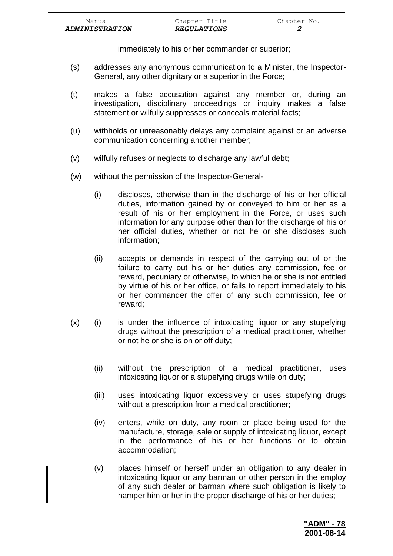| Manual<br><b>ADMINISTRATION</b> | Chapter Title<br><b>REGULATIONS</b> | Chapter No. |
|---------------------------------|-------------------------------------|-------------|
|                                 |                                     |             |

immediately to his or her commander or superior;

- (s) addresses any anonymous communication to a Minister, the Inspector-General, any other dignitary or a superior in the Force;
- (t) makes a false accusation against any member or, during an investigation, disciplinary proceedings or inquiry makes a false statement or wilfully suppresses or conceals material facts;
- (u) withholds or unreasonably delays any complaint against or an adverse communication concerning another member;
- (v) wilfully refuses or neglects to discharge any lawful debt;
- (w) without the permission of the Inspector-General-
	- (i) discloses, otherwise than in the discharge of his or her official duties, information gained by or conveyed to him or her as a result of his or her employment in the Force, or uses such information for any purpose other than for the discharge of his or her official duties, whether or not he or she discloses such information;
	- (ii) accepts or demands in respect of the carrying out of or the failure to carry out his or her duties any commission, fee or reward, pecuniary or otherwise, to which he or she is not entitled by virtue of his or her office, or fails to report immediately to his or her commander the offer of any such commission, fee or reward;
- (x) (i) is under the influence of intoxicating liquor or any stupefying drugs without the prescription of a medical practitioner, whether or not he or she is on or off duty;
	- (ii) without the prescription of a medical practitioner, uses intoxicating liquor or a stupefying drugs while on duty;
	- (iii) uses intoxicating liquor excessively or uses stupefying drugs without a prescription from a medical practitioner;
	- (iv) enters, while on duty, any room or place being used for the manufacture, storage, sale or supply of intoxicating liquor, except in the performance of his or her functions or to obtain accommodation;
	- (v) places himself or herself under an obligation to any dealer in intoxicating liquor or any barman or other person in the employ of any such dealer or barman where such obligation is likely to hamper him or her in the proper discharge of his or her duties;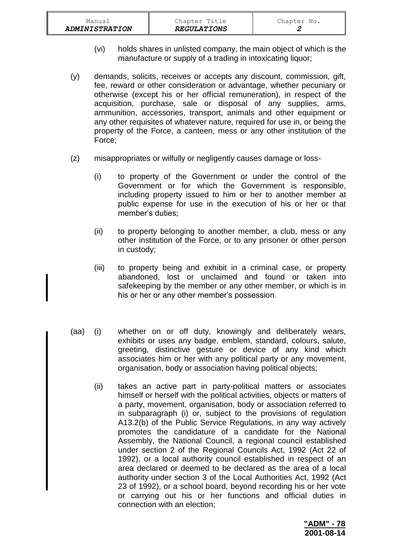| <i><b>ADMINISTRATION</b></i> | <b>REGULATIONS</b> |             |
|------------------------------|--------------------|-------------|
| Manual                       | Chapter Title      | Chapter No. |

- (vi) holds shares in unlisted company, the main object of which is the manufacture or supply of a trading in intoxicating liquor;
- (y) demands, solicits, receives or accepts any discount, commission, gift, fee, reward or other consideration or advantage, whether pecuniary or otherwise (except his or her official remuneration), in respect of the acquisition, purchase, sale or disposal of any supplies, arms, ammunition, accessories, transport, animals and other equipment or any other requisites of whatever nature, required for use in, or being the property of the Force, a canteen, mess or any other institution of the Force;
- (z) misappropriates or wilfully or negligently causes damage or loss-
	- (i) to property of the Government or under the control of the Government or for which the Government is responsible, including property issued to him or her to another member at public expense for use in the execution of his or her or that member's duties;
	- (ii) to property belonging to another member, a club, mess or any other institution of the Force, or to any prisoner or other person in custody;
	- (iii) to property being and exhibit in a criminal case, or property abandoned, lost or unclaimed and found or taken into safekeeping by the member or any other member, or which is in his or her or any other member's possession.
- (aa) (i) whether on or off duty, knowingly and deliberately wears, exhibits or uses any badge, emblem, standard, colours, salute, greeting, distinctive gesture or device of any kind which associates him or her with any political party or any movement, organisation, body or association having political objects;
	- (ii) takes an active part in party-political matters or associates himself or herself with the political activities, objects or matters of a party, movement, organisation, body or association referred to in subparagraph (i) or, subject to the provisions of regulation A13.2(b) of the Public Service Regulations, in any way actively promotes the candidature of a candidate for the National Assembly, the National Council, a regional council established under section 2 of the Regional Councils Act, 1992 (Act 22 of 1992), or a local authority council established in respect of an area declared or deemed to be declared as the area of a local authority under section 3 of the Local Authorities Act, 1992 (Act 23 of 1992), or a school board, beyond recording his or her vote or carrying out his or her functions and official duties in connection with an election;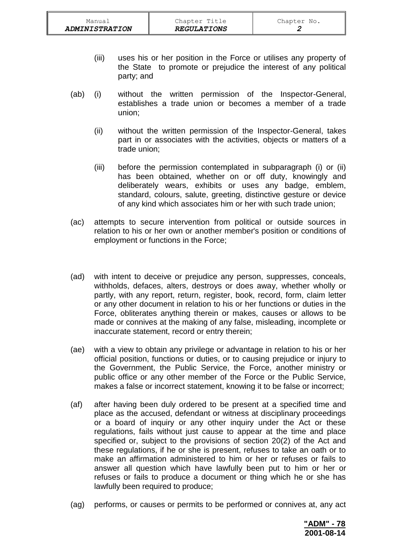- (iii) uses his or her position in the Force or utilises any property of the State to promote or prejudice the interest of any political party; and
- (ab) (i) without the written permission of the Inspector-General, establishes a trade union or becomes a member of a trade union;
	- (ii) without the written permission of the Inspector-General, takes part in or associates with the activities, objects or matters of a trade union;
	- (iii) before the permission contemplated in subparagraph (i) or (ii) has been obtained, whether on or off duty, knowingly and deliberately wears, exhibits or uses any badge, emblem, standard, colours, salute, greeting, distinctive gesture or device of any kind which associates him or her with such trade union;
- (ac) attempts to secure intervention from political or outside sources in relation to his or her own or another member's position or conditions of employment or functions in the Force;
- (ad) with intent to deceive or prejudice any person, suppresses, conceals, withholds, defaces, alters, destroys or does away, whether wholly or partly, with any report, return, register, book, record, form, claim letter or any other document in relation to his or her functions or duties in the Force, obliterates anything therein or makes, causes or allows to be made or connives at the making of any false, misleading, incomplete or inaccurate statement, record or entry therein;
- (ae) with a view to obtain any privilege or advantage in relation to his or her official position, functions or duties, or to causing prejudice or injury to the Government, the Public Service, the Force, another ministry or public office or any other member of the Force or the Public Service, makes a false or incorrect statement, knowing it to be false or incorrect;
- (af) after having been duly ordered to be present at a specified time and place as the accused, defendant or witness at disciplinary proceedings or a board of inquiry or any other inquiry under the Act or these regulations, fails without just cause to appear at the time and place specified or, subject to the provisions of section 20(2) of the Act and these regulations, if he or she is present, refuses to take an oath or to make an affirmation administered to him or her or refuses or fails to answer all question which have lawfully been put to him or her or refuses or fails to produce a document or thing which he or she has lawfully been required to produce;
- (ag) performs, or causes or permits to be performed or connives at, any act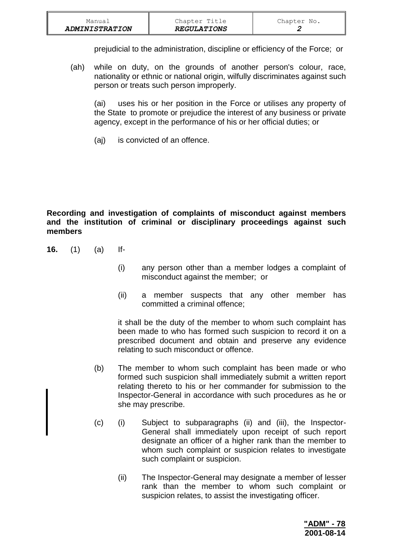| Manual                | Chapter Title      | Chapter No. |
|-----------------------|--------------------|-------------|
| <b>ADMINISTRATION</b> | <b>REGULATIONS</b> |             |

prejudicial to the administration, discipline or efficiency of the Force; or

(ah) while on duty, on the grounds of another person's colour, race, nationality or ethnic or national origin, wilfully discriminates against such person or treats such person improperly.

(ai) uses his or her position in the Force or utilises any property of the State to promote or prejudice the interest of any business or private agency, except in the performance of his or her official duties; or

(aj) is convicted of an offence.

**Recording and investigation of complaints of misconduct against members and the institution of criminal or disciplinary proceedings against such members**

- **16.** (1) (a) If-
	- (i) any person other than a member lodges a complaint of misconduct against the member; or
	- (ii) a member suspects that any other member has committed a criminal offence;

it shall be the duty of the member to whom such complaint has been made to who has formed such suspicion to record it on a prescribed document and obtain and preserve any evidence relating to such misconduct or offence.

- (b) The member to whom such complaint has been made or who formed such suspicion shall immediately submit a written report relating thereto to his or her commander for submission to the Inspector-General in accordance with such procedures as he or she may prescribe.
- (c) (i) Subject to subparagraphs (ii) and (iii), the Inspector-General shall immediately upon receipt of such report designate an officer of a higher rank than the member to whom such complaint or suspicion relates to investigate such complaint or suspicion.
	- (ii) The Inspector-General may designate a member of lesser rank than the member to whom such complaint or suspicion relates, to assist the investigating officer.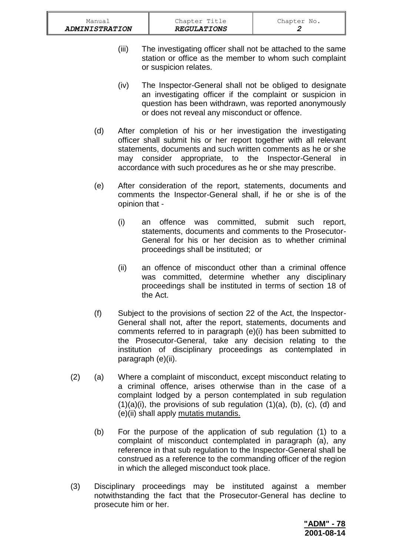- (iii) The investigating officer shall not be attached to the same station or office as the member to whom such complaint or suspicion relates.
- (iv) The Inspector-General shall not be obliged to designate an investigating officer if the complaint or suspicion in question has been withdrawn, was reported anonymously or does not reveal any misconduct or offence.
- (d) After completion of his or her investigation the investigating officer shall submit his or her report together with all relevant statements, documents and such written comments as he or she may consider appropriate, to the Inspector-General in accordance with such procedures as he or she may prescribe.
- (e) After consideration of the report, statements, documents and comments the Inspector-General shall, if he or she is of the opinion that -
	- (i) an offence was committed, submit such report, statements, documents and comments to the Prosecutor-General for his or her decision as to whether criminal proceedings shall be instituted; or
	- (ii) an offence of misconduct other than a criminal offence was committed, determine whether any disciplinary proceedings shall be instituted in terms of section 18 of the Act.
- (f) Subject to the provisions of section 22 of the Act, the Inspector-General shall not, after the report, statements, documents and comments referred to in paragraph (e)(i) has been submitted to the Prosecutor-General, take any decision relating to the institution of disciplinary proceedings as contemplated in paragraph (e)(ii).
- (2) (a) Where a complaint of misconduct, except misconduct relating to a criminal offence, arises otherwise than in the case of a complaint lodged by a person contemplated in sub regulation  $(1)(a)(i)$ , the provisions of sub regulation  $(1)(a)$ ,  $(b)$ ,  $(c)$ ,  $(d)$  and (e)(ii) shall apply mutatis mutandis.
	- (b) For the purpose of the application of sub regulation (1) to a complaint of misconduct contemplated in paragraph (a), any reference in that sub regulation to the Inspector-General shall be construed as a reference to the commanding officer of the region in which the alleged misconduct took place.
- (3) Disciplinary proceedings may be instituted against a member notwithstanding the fact that the Prosecutor-General has decline to prosecute him or her.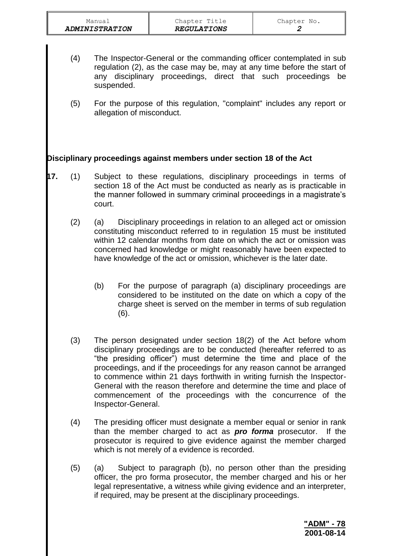- (4) The Inspector-General or the commanding officer contemplated in sub regulation (2), as the case may be, may at any time before the start of any disciplinary proceedings, direct that such proceedings be suspended.
- (5) For the purpose of this regulation, "complaint" includes any report or allegation of misconduct.

## **Disciplinary proceedings against members under section 18 of the Act**

- **17.** (1) Subject to these regulations, disciplinary proceedings in terms of section 18 of the Act must be conducted as nearly as is practicable in the manner followed in summary criminal proceedings in a magistrate's court.
	- (2) (a) Disciplinary proceedings in relation to an alleged act or omission constituting misconduct referred to in regulation 15 must be instituted within 12 calendar months from date on which the act or omission was concerned had knowledge or might reasonably have been expected to have knowledge of the act or omission, whichever is the later date.
		- (b) For the purpose of paragraph (a) disciplinary proceedings are considered to be instituted on the date on which a copy of the charge sheet is served on the member in terms of sub regulation (6).
	- (3) The person designated under section 18(2) of the Act before whom disciplinary proceedings are to be conducted (hereafter referred to as "the presiding officer") must determine the time and place of the proceedings, and if the proceedings for any reason cannot be arranged to commence within 21 days forthwith in writing furnish the Inspector-General with the reason therefore and determine the time and place of commencement of the proceedings with the concurrence of the Inspector-General.
	- (4) The presiding officer must designate a member equal or senior in rank than the member charged to act as *pro forma* prosecutor. If the prosecutor is required to give evidence against the member charged which is not merely of a evidence is recorded.
	- (5) (a) Subject to paragraph (b), no person other than the presiding officer, the pro forma prosecutor, the member charged and his or her legal representative, a witness while giving evidence and an interpreter, if required, may be present at the disciplinary proceedings.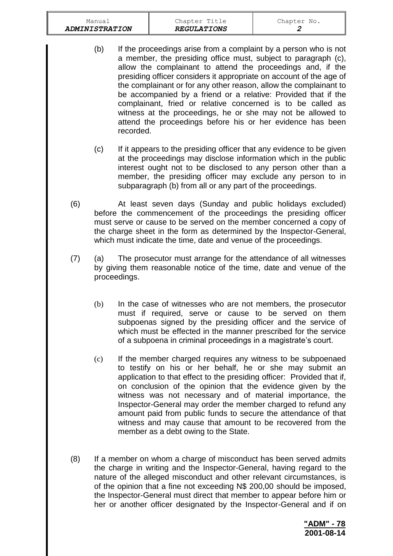|     | Manual                |              | Chapter Title                                                                                                                                                                                                                                                                                                                                                                                                                                                                                                                                                                                               | Chapter No.      |
|-----|-----------------------|--------------|-------------------------------------------------------------------------------------------------------------------------------------------------------------------------------------------------------------------------------------------------------------------------------------------------------------------------------------------------------------------------------------------------------------------------------------------------------------------------------------------------------------------------------------------------------------------------------------------------------------|------------------|
|     | <b>ADMINISTRATION</b> |              | <b>REGULATIONS</b>                                                                                                                                                                                                                                                                                                                                                                                                                                                                                                                                                                                          | $\boldsymbol{2}$ |
|     | (b)                   | recorded.    | If the proceedings arise from a complaint by a person who is not<br>a member, the presiding office must, subject to paragraph (c),<br>allow the complainant to attend the proceedings and, if the<br>presiding officer considers it appropriate on account of the age of<br>the complainant or for any other reason, allow the complainant to<br>be accompanied by a friend or a relative: Provided that if the<br>complainant, fried or relative concerned is to be called as<br>witness at the proceedings, he or she may not be allowed to<br>attend the proceedings before his or her evidence has been |                  |
|     | (c)                   |              | If it appears to the presiding officer that any evidence to be given<br>at the proceedings may disclose information which in the public<br>interest ought not to be disclosed to any person other than a<br>member, the presiding officer may exclude any person to in<br>subparagraph (b) from all or any part of the proceedings.                                                                                                                                                                                                                                                                         |                  |
| (6) |                       |              | At least seven days (Sunday and public holidays excluded)<br>before the commencement of the proceedings the presiding officer<br>must serve or cause to be served on the member concerned a copy of<br>the charge sheet in the form as determined by the Inspector-General,<br>which must indicate the time, date and venue of the proceedings.                                                                                                                                                                                                                                                             |                  |
| (7) | (a)                   | proceedings. | The prosecutor must arrange for the attendance of all witnesses<br>by giving them reasonable notice of the time, date and venue of the                                                                                                                                                                                                                                                                                                                                                                                                                                                                      |                  |
|     | (b)                   |              | In the case of witnesses who are not members, the prosecutor<br>must if required, serve or cause to be served on them<br>subpoenas signed by the presiding officer and the service of<br>which must be effected in the manner prescribed for the service<br>of a subpoena in criminal proceedings in a magistrate's court.                                                                                                                                                                                                                                                                                  |                  |
|     | (c)                   |              | If the member charged requires any witness to be subpoenaed<br>to testify on his or her behalf, he or she may submit an<br>application to that effect to the presiding officer: Provided that if,<br>on conclusion of the opinion that the evidence given by the<br>witness was not necessary and of material importance, the<br>Inspector-General may order the member charged to refund any<br>amount paid from public funds to secure the attendance of that<br>witness and may cause that amount to be recovered from the<br>member as a debt owing to the State.                                       |                  |
| (8) |                       |              | If a member on whom a charge of misconduct has been served admits                                                                                                                                                                                                                                                                                                                                                                                                                                                                                                                                           |                  |

the charge in writing and the Inspector-General, having regard to the nature of the alleged misconduct and other relevant circumstances, is of the opinion that a fine not exceeding N\$ 200,00 should be imposed, the Inspector-General must direct that member to appear before him or her or another officer designated by the Inspector-General and if on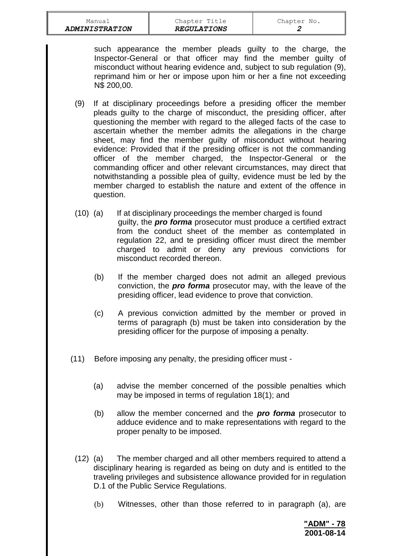such appearance the member pleads guilty to the charge, the Inspector-General or that officer may find the member guilty of misconduct without hearing evidence and, subject to sub regulation (9), reprimand him or her or impose upon him or her a fine not exceeding N\$ 200,00.

- (9) If at disciplinary proceedings before a presiding officer the member pleads guilty to the charge of misconduct, the presiding officer, after questioning the member with regard to the alleged facts of the case to ascertain whether the member admits the allegations in the charge sheet, may find the member guilty of misconduct without hearing evidence: Provided that if the presiding officer is not the commanding officer of the member charged, the Inspector-General or the commanding officer and other relevant circumstances, may direct that notwithstanding a possible plea of guilty, evidence must be led by the member charged to establish the nature and extent of the offence in question.
- (10) (a) If at disciplinary proceedings the member charged is found guilty, the *pro forma* prosecutor must produce a certified extract from the conduct sheet of the member as contemplated in regulation 22, and te presiding officer must direct the member charged to admit or deny any previous convictions for misconduct recorded thereon.
	- (b) If the member charged does not admit an alleged previous conviction, the *pro forma* prosecutor may, with the leave of the presiding officer, lead evidence to prove that conviction.
	- (c) A previous conviction admitted by the member or proved in terms of paragraph (b) must be taken into consideration by the presiding officer for the purpose of imposing a penalty.
- (11) Before imposing any penalty, the presiding officer must
	- (a) advise the member concerned of the possible penalties which may be imposed in terms of regulation 18(1); and
	- (b) allow the member concerned and the *pro forma* prosecutor to adduce evidence and to make representations with regard to the proper penalty to be imposed.
	- (12) (a) The member charged and all other members required to attend a disciplinary hearing is regarded as being on duty and is entitled to the traveling privileges and subsistence allowance provided for in regulation D.1 of the Public Service Regulations.
		- (b) Witnesses, other than those referred to in paragraph (a), are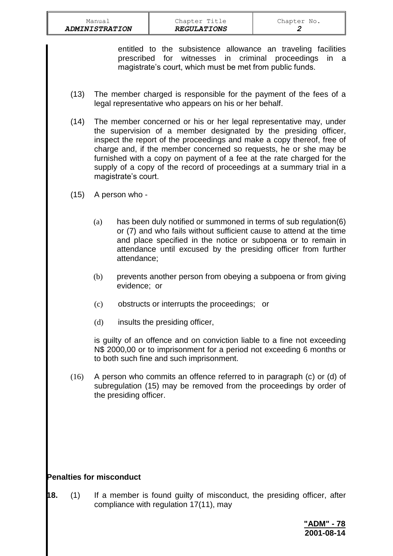entitled to the subsistence allowance an traveling facilities prescribed for witnesses in criminal proceedings in a magistrate's court, which must be met from public funds.

- (13) The member charged is responsible for the payment of the fees of a legal representative who appears on his or her behalf.
- (14) The member concerned or his or her legal representative may, under the supervision of a member designated by the presiding officer, inspect the report of the proceedings and make a copy thereof, free of charge and, if the member concerned so requests, he or she may be furnished with a copy on payment of a fee at the rate charged for the supply of a copy of the record of proceedings at a summary trial in a magistrate's court.
- (15) A person who
	- (a) has been duly notified or summoned in terms of sub regulation(6) or (7) and who fails without sufficient cause to attend at the time and place specified in the notice or subpoena or to remain in attendance until excused by the presiding officer from further attendance;
	- (b) prevents another person from obeying a subpoena or from giving evidence; or
	- (c) obstructs or interrupts the proceedings; or
	- (d) insults the presiding officer,

is guilty of an offence and on conviction liable to a fine not exceeding N\$ 2000,00 or to imprisonment for a period not exceeding 6 months or to both such fine and such imprisonment.

(16) A person who commits an offence referred to in paragraph (c) or (d) of subregulation (15) may be removed from the proceedings by order of the presiding officer.

## **Penalties for misconduct**

**18.** (1) If a member is found guilty of misconduct, the presiding officer, after compliance with regulation 17(11), may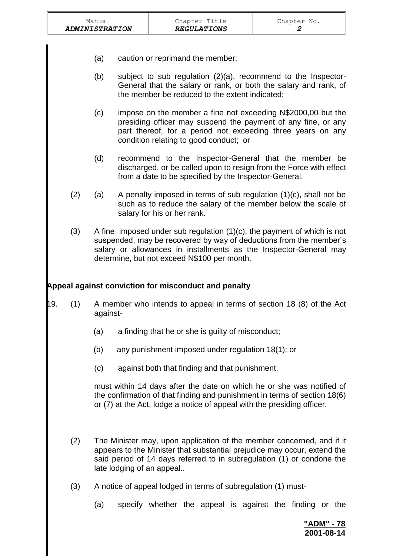|     | Manual<br><b>ADMINISTRATION</b> |          |                                                                                                                                                                                                                                                                      | Chapter Title<br><b>REGULATIONS</b> |  | Chapter No.<br>2 |  |                          |  |
|-----|---------------------------------|----------|----------------------------------------------------------------------------------------------------------------------------------------------------------------------------------------------------------------------------------------------------------------------|-------------------------------------|--|------------------|--|--------------------------|--|
|     |                                 | (a)      | caution or reprimand the member;                                                                                                                                                                                                                                     |                                     |  |                  |  |                          |  |
|     |                                 | (b)      | subject to sub regulation (2)(a), recommend to the Inspector-<br>General that the salary or rank, or both the salary and rank, of<br>the member be reduced to the extent indicated;                                                                                  |                                     |  |                  |  |                          |  |
|     |                                 | (c)      | impose on the member a fine not exceeding N\$2000,00 but the<br>presiding officer may suspend the payment of any fine, or any<br>part thereof, for a period not exceeding three years on any<br>condition relating to good conduct; or                               |                                     |  |                  |  |                          |  |
|     |                                 | (d)      | recommend to the Inspector-General that the member be<br>discharged, or be called upon to resign from the Force with effect<br>from a date to be specified by the Inspector-General.                                                                                 |                                     |  |                  |  |                          |  |
|     | (2)                             | (a)      | A penalty imposed in terms of sub regulation $(1)(c)$ , shall not be<br>such as to reduce the salary of the member below the scale of<br>salary for his or her rank.                                                                                                 |                                     |  |                  |  |                          |  |
|     | (3)                             |          | A fine imposed under sub regulation $(1)(c)$ , the payment of which is not<br>suspended, may be recovered by way of deductions from the member's<br>salary or allowances in installments as the Inspector-General may<br>determine, but not exceed N\$100 per month. |                                     |  |                  |  |                          |  |
|     |                                 |          | Appeal against conviction for misconduct and penalty                                                                                                                                                                                                                 |                                     |  |                  |  |                          |  |
| 19. | (1)                             | against- | A member who intends to appeal in terms of section 18 (8) of the Act                                                                                                                                                                                                 |                                     |  |                  |  |                          |  |
|     |                                 | (a)      | a finding that he or she is guilty of misconduct;                                                                                                                                                                                                                    |                                     |  |                  |  |                          |  |
|     |                                 | (b)      | any punishment imposed under regulation 18(1); or                                                                                                                                                                                                                    |                                     |  |                  |  |                          |  |
|     |                                 | (c)      | against both that finding and that punishment,                                                                                                                                                                                                                       |                                     |  |                  |  |                          |  |
|     |                                 |          | must within 14 days after the date on which he or she was notified of<br>the confirmation of that finding and punishment in terms of section 18(6)<br>or (7) at the Act, lodge a notice of appeal with the presiding officer.                                        |                                     |  |                  |  |                          |  |
|     | (2)                             |          | The Minister may, upon application of the member concerned, and if it<br>appears to the Minister that substantial prejudice may occur, extend the<br>said period of 14 days referred to in subregulation (1) or condone the<br>late lodging of an appeal             |                                     |  |                  |  |                          |  |
|     | (3)                             |          | A notice of appeal lodged in terms of subregulation (1) must-                                                                                                                                                                                                        |                                     |  |                  |  |                          |  |
|     |                                 | (a)      | specify whether the appeal is against the finding or the                                                                                                                                                                                                             |                                     |  |                  |  |                          |  |
|     |                                 |          |                                                                                                                                                                                                                                                                      |                                     |  |                  |  | "ADM" - 78<br>2001-08-14 |  |

 $\mathbb{F}$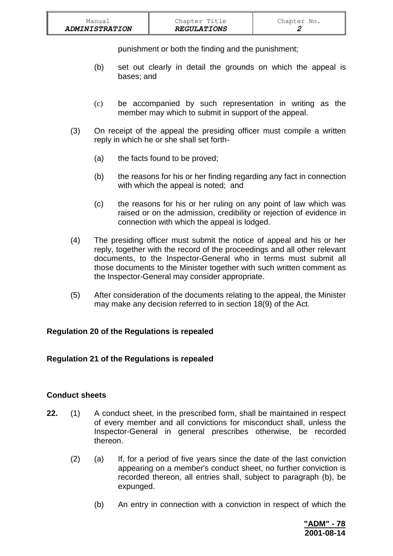| Manual                | Chapter Title      | Chapter No. |
|-----------------------|--------------------|-------------|
| <b>ADMINISTRATION</b> | <b>REGULATIONS</b> |             |

punishment or both the finding and the punishment;

- (b) set out clearly in detail the grounds on which the appeal is bases; and
- (c) be accompanied by such representation in writing as the member may which to submit in support of the appeal.
- (3) On receipt of the appeal the presiding officer must compile a written reply in which he or she shall set forth-
	- (a) the facts found to be proved;
	- (b) the reasons for his or her finding regarding any fact in connection with which the appeal is noted; and
	- (c) the reasons for his or her ruling on any point of law which was raised or on the admission, credibility or rejection of evidence in connection with which the appeal is lodged.
- (4) The presiding officer must submit the notice of appeal and his or her reply, together with the record of the proceedings and all other relevant documents, to the Inspector-General who in terms must submit all those documents to the Minister together with such written comment as the Inspector-General may consider appropriate.
- (5) After consideration of the documents relating to the appeal, the Minister may make any decision referred to in section 18(9) of the Act.

## **Regulation 20 of the Regulations is repealed**

#### **Regulation 21 of the Regulations is repealed**

#### **Conduct sheets**

- **22.** (1) A conduct sheet, in the prescribed form, shall be maintained in respect of every member and all convictions for misconduct shall, unless the Inspector-General in general prescribes otherwise, be recorded thereon.
	- (2) (a) If, for a period of five years since the date of the last conviction appearing on a member's conduct sheet, no further conviction is recorded thereon, all entries shall, subject to paragraph (b), be expunged.
		- (b) An entry in connection with a conviction in respect of which the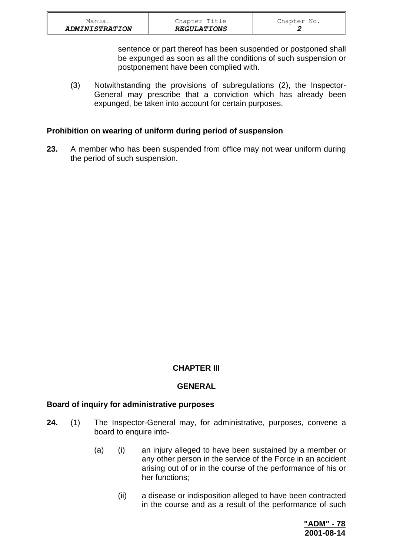sentence or part thereof has been suspended or postponed shall be expunged as soon as all the conditions of such suspension or postponement have been complied with.

(3) Notwithstanding the provisions of subregulations (2), the Inspector-General may prescribe that a conviction which has already been expunged, be taken into account for certain purposes.

## **Prohibition on wearing of uniform during period of suspension**

**23.** A member who has been suspended from office may not wear uniform during the period of such suspension.

## **CHAPTER III**

## **GENERAL**

#### **Board of inquiry for administrative purposes**

- **24.** (1) The Inspector-General may, for administrative, purposes, convene a board to enquire into-
	- (a) (i) an injury alleged to have been sustained by a member or any other person in the service of the Force in an accident arising out of or in the course of the performance of his or her functions;
		- (ii) a disease or indisposition alleged to have been contracted in the course and as a result of the performance of such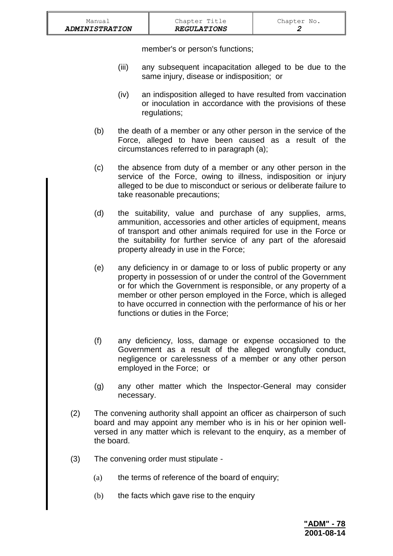member's or person's functions;

- (iii) any subsequent incapacitation alleged to be due to the same injury, disease or indisposition; or
- (iv) an indisposition alleged to have resulted from vaccination or inoculation in accordance with the provisions of these regulations;
- (b) the death of a member or any other person in the service of the Force, alleged to have been caused as a result of the circumstances referred to in paragraph (a);
- (c) the absence from duty of a member or any other person in the service of the Force, owing to illness, indisposition or injury alleged to be due to misconduct or serious or deliberate failure to take reasonable precautions;
- (d) the suitability, value and purchase of any supplies, arms, ammunition, accessories and other articles of equipment, means of transport and other animals required for use in the Force or the suitability for further service of any part of the aforesaid property already in use in the Force;
- (e) any deficiency in or damage to or loss of public property or any property in possession of or under the control of the Government or for which the Government is responsible, or any property of a member or other person employed in the Force, which is alleged to have occurred in connection with the performance of his or her functions or duties in the Force;
- (f) any deficiency, loss, damage or expense occasioned to the Government as a result of the alleged wrongfully conduct, negligence or carelessness of a member or any other person employed in the Force; or
- (g) any other matter which the Inspector-General may consider necessary.
- (2) The convening authority shall appoint an officer as chairperson of such board and may appoint any member who is in his or her opinion wellversed in any matter which is relevant to the enquiry, as a member of the board.
- (3) The convening order must stipulate
	- (a) the terms of reference of the board of enquiry;
	- (b) the facts which gave rise to the enquiry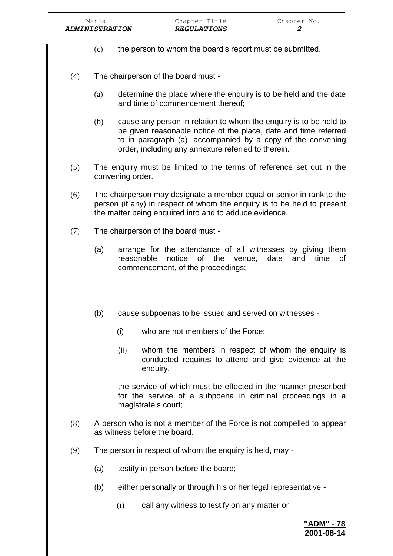- (c) the person to whom the board's report must be submitted.
- (4) The chairperson of the board must
	- (a) determine the place where the enquiry is to be held and the date and time of commencement thereof;
	- (b) cause any person in relation to whom the enquiry is to be held to be given reasonable notice of the place, date and time referred to in paragraph (a), accompanied by a copy of the convening order, including any annexure referred to therein.
- (5) The enquiry must be limited to the terms of reference set out in the convening order.
- (6) The chairperson may designate a member equal or senior in rank to the person (if any) in respect of whom the enquiry is to be held to present the matter being enquired into and to adduce evidence.
- (7) The chairperson of the board must
	- (a) arrange for the attendance of all witnesses by giving them reasonable notice of the venue, date and time of commencement, of the proceedings;
	- (b) cause subpoenas to be issued and served on witnesses
		- (i) who are not members of the Force;
		- (ii) whom the members in respect of whom the enquiry is conducted requires to attend and give evidence at the enquiry.

the service of which must be effected in the manner prescribed for the service of a subpoena in criminal proceedings in a magistrate's court;

- (8) A person who is not a member of the Force is not compelled to appear as witness before the board.
- (9) The person in respect of whom the enquiry is held, may
	- (a) testify in person before the board;
	- (b) either personally or through his or her legal representative
		- (i) call any witness to testify on any matter or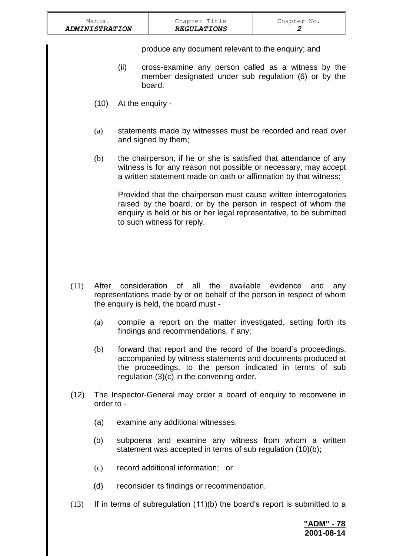| Manual<br><b>ADMINISTRATION</b> |                  | Chapter Title<br><b>REGULATIONS</b>                                                                                                                                                                                                   | Chapter No.<br>2 |
|---------------------------------|------------------|---------------------------------------------------------------------------------------------------------------------------------------------------------------------------------------------------------------------------------------|------------------|
|                                 | (ii)             | produce any document relevant to the enquiry; and<br>cross-examine any person called as a witness by the<br>member designated under sub regulation (6) or by the<br>board.                                                            |                  |
| (10)                            | At the enquiry - |                                                                                                                                                                                                                                       |                  |
| (a)                             |                  | statements made by witnesses must be recorded and read over<br>and signed by them;                                                                                                                                                    |                  |
| (b)                             |                  | the chairperson, if he or she is satisfied that attendance of any<br>witness is for any reason not possible or necessary, may accept<br>a written statement made on oath or affirmation by that witness:                              |                  |
|                                 |                  | Provided that the chairperson must cause written interrogatories<br>raised by the board, or by the person in respect of whom the<br>enquiry is held or his or her legal representative, to be submitted<br>to such witness for reply. |                  |
|                                 |                  |                                                                                                                                                                                                                                       |                  |
| (11)<br>After                   | consideration    | of all the available evidence<br>representations made by or on behalf of the person in respect of whom<br>the enquiry is held, the board must -                                                                                       | and<br>any       |
| (a)                             |                  | compile a report on the matter investigated, setting forth its<br>findings and recommendations, if any;                                                                                                                               |                  |

- (b) forward that report and the record of the board's proceedings, accompanied by witness statements and documents produced at the proceedings, to the person indicated in terms of sub regulation (3)(c) in the convening order.
- (12) The Inspector-General may order a board of enquiry to reconvene in order to -
	- (a) examine any additional witnesses;
	- (b) subpoena and examine any witness from whom a written statement was accepted in terms of sub regulation (10)(b);
	- (c) record additional information; or
	- (d) reconsider its findings or recommendation.
- (13) If in terms of subregulation (11)(b) the board's report is submitted to a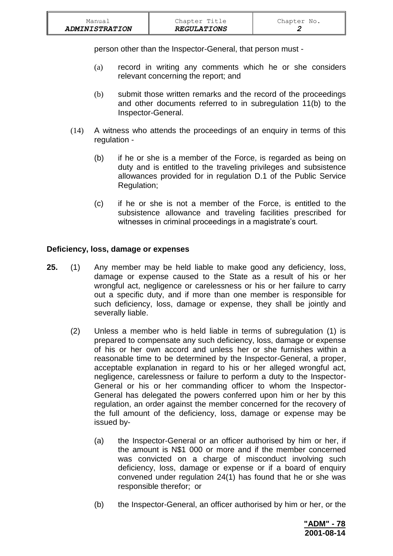| Manual                | Chapter Title      | Chapter No. |
|-----------------------|--------------------|-------------|
| <b>ADMINISTRATION</b> | <b>REGULATIONS</b> |             |

person other than the Inspector-General, that person must -

- (a) record in writing any comments which he or she considers relevant concerning the report; and
- (b) submit those written remarks and the record of the proceedings and other documents referred to in subregulation 11(b) to the Inspector-General.
- (14) A witness who attends the proceedings of an enquiry in terms of this regulation -
	- (b) if he or she is a member of the Force, is regarded as being on duty and is entitled to the traveling privileges and subsistence allowances provided for in regulation D.1 of the Public Service Regulation;
	- (c) if he or she is not a member of the Force, is entitled to the subsistence allowance and traveling facilities prescribed for witnesses in criminal proceedings in a magistrate's court.

#### **Deficiency, loss, damage or expenses**

- **25.** (1) Any member may be held liable to make good any deficiency, loss, damage or expense caused to the State as a result of his or her wrongful act, negligence or carelessness or his or her failure to carry out a specific duty, and if more than one member is responsible for such deficiency, loss, damage or expense, they shall be jointly and severally liable.
	- (2) Unless a member who is held liable in terms of subregulation (1) is prepared to compensate any such deficiency, loss, damage or expense of his or her own accord and unless her or she furnishes within a reasonable time to be determined by the Inspector-General, a proper, acceptable explanation in regard to his or her alleged wrongful act, negligence, carelessness or failure to perform a duty to the Inspector-General or his or her commanding officer to whom the Inspector-General has delegated the powers conferred upon him or her by this regulation, an order against the member concerned for the recovery of the full amount of the deficiency, loss, damage or expense may be issued by-
		- (a) the Inspector-General or an officer authorised by him or her, if the amount is N\$1 000 or more and if the member concerned was convicted on a charge of misconduct involving such deficiency, loss, damage or expense or if a board of enquiry convened under regulation 24(1) has found that he or she was responsible therefor; or
		- (b) the Inspector-General, an officer authorised by him or her, or the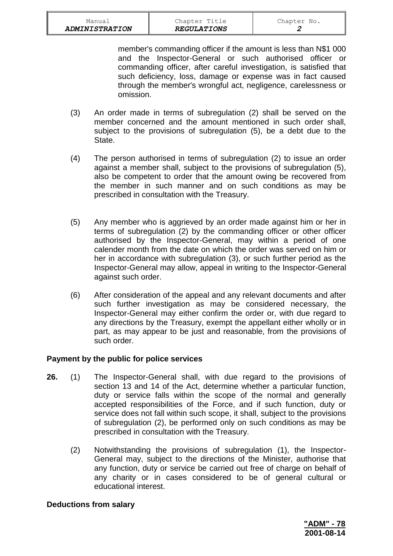member's commanding officer if the amount is less than N\$1 000 and the Inspector-General or such authorised officer or commanding officer, after careful investigation, is satisfied that such deficiency, loss, damage or expense was in fact caused through the member's wrongful act, negligence, carelessness or omission.

- (3) An order made in terms of subregulation (2) shall be served on the member concerned and the amount mentioned in such order shall, subject to the provisions of subregulation (5), be a debt due to the State.
- (4) The person authorised in terms of subregulation (2) to issue an order against a member shall, subject to the provisions of subregulation (5), also be competent to order that the amount owing be recovered from the member in such manner and on such conditions as may be prescribed in consultation with the Treasury.
- (5) Any member who is aggrieved by an order made against him or her in terms of subregulation (2) by the commanding officer or other officer authorised by the Inspector-General, may within a period of one calender month from the date on which the order was served on him or her in accordance with subregulation (3), or such further period as the Inspector-General may allow, appeal in writing to the Inspector-General against such order.
- (6) After consideration of the appeal and any relevant documents and after such further investigation as may be considered necessary, the Inspector-General may either confirm the order or, with due regard to any directions by the Treasury, exempt the appellant either wholly or in part, as may appear to be just and reasonable, from the provisions of such order.

## **Payment by the public for police services**

- **26.** (1) The Inspector-General shall, with due regard to the provisions of section 13 and 14 of the Act, determine whether a particular function, duty or service falls within the scope of the normal and generally accepted responsibilities of the Force, and if such function, duty or service does not fall within such scope, it shall, subject to the provisions of subregulation (2), be performed only on such conditions as may be prescribed in consultation with the Treasury.
	- (2) Notwithstanding the provisions of subregulation (1), the Inspector-General may, subject to the directions of the Minister, authorise that any function, duty or service be carried out free of charge on behalf of any charity or in cases considered to be of general cultural or educational interest.

#### **Deductions from salary**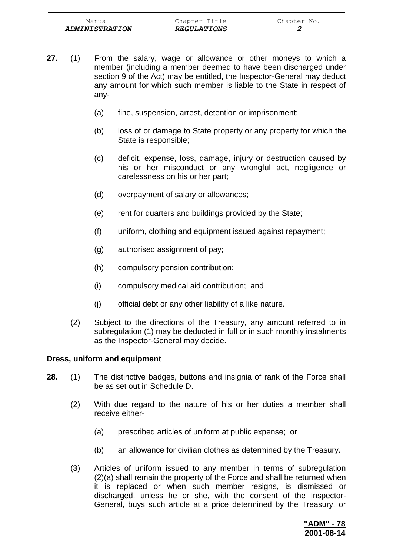- **27.** (1) From the salary, wage or allowance or other moneys to which a member (including a member deemed to have been discharged under section 9 of the Act) may be entitled, the Inspector-General may deduct any amount for which such member is liable to the State in respect of any-
	- (a) fine, suspension, arrest, detention or imprisonment;
	- (b) loss of or damage to State property or any property for which the State is responsible;
	- (c) deficit, expense, loss, damage, injury or destruction caused by his or her misconduct or any wrongful act, negligence or carelessness on his or her part;
	- (d) overpayment of salary or allowances;
	- (e) rent for quarters and buildings provided by the State;
	- (f) uniform, clothing and equipment issued against repayment;
	- (g) authorised assignment of pay;
	- (h) compulsory pension contribution;
	- (i) compulsory medical aid contribution; and
	- (j) official debt or any other liability of a like nature.
	- (2) Subject to the directions of the Treasury, any amount referred to in subregulation (1) may be deducted in full or in such monthly instalments as the Inspector-General may decide.

#### **Dress, uniform and equipment**

- **28.** (1) The distinctive badges, buttons and insignia of rank of the Force shall be as set out in Schedule D.
	- (2) With due regard to the nature of his or her duties a member shall receive either-
		- (a) prescribed articles of uniform at public expense; or
		- (b) an allowance for civilian clothes as determined by the Treasury.
	- (3) Articles of uniform issued to any member in terms of subregulation (2)(a) shall remain the property of the Force and shall be returned when it is replaced or when such member resigns, is dismissed or discharged, unless he or she, with the consent of the Inspector-General, buys such article at a price determined by the Treasury, or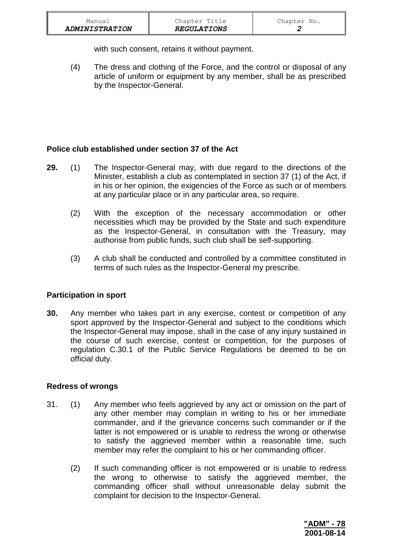| Manual                | Chapter Title      | Chapter No. |
|-----------------------|--------------------|-------------|
| <b>ADMINISTRATION</b> | <b>REGULATIONS</b> |             |

with such consent, retains it without payment.

(4) The dress and clothing of the Force, and the control or disposal of any article of uniform or equipment by any member, shall be as prescribed by the Inspector-General.

### **Police club established under section 37 of the Act**

- **29.** (1) The Inspector-General may, with due regard to the directions of the Minister, establish a club as contemplated in section 37 (1) of the Act, if in his or her opinion, the exigencies of the Force as such or of members at any particular place or in any particular area, so require.
	- (2) With the exception of the necessary accommodation or other necessities which may be provided by the State and such expenditure as the Inspector-General, in consultation with the Treasury, may authorise from public funds, such club shall be self-supporting.
	- (3) A club shall be conducted and controlled by a committee constituted in terms of such rules as the Inspector-General my prescribe.

## **Participation in sport**

**30.** Any member who takes part in any exercise, contest or competition of any sport approved by the Inspector-General and subject to the conditions which the Inspector-General may impose, shall in the case of any injury sustained in the course of such exercise, contest or competition, for the purposes of regulation C.30.1 of the Public Service Regulations be deemed to be on official duty.

#### **Redress of wrongs**

- 31. (1) Any member who feels aggrieved by any act or omission on the part of any other member may complain in writing to his or her immediate commander, and if the grievance concerns such commander or if the latter is not empowered or is unable to redress the wrong or otherwise to satisfy the aggrieved member within a reasonable time, such member may refer the complaint to his or her commanding officer.
	- (2) If such commanding officer is not empowered or is unable to redress the wrong to otherwise to satisfy the aggrieved member, the commanding officer shall without unreasonable delay submit the complaint for decision to the Inspector-General.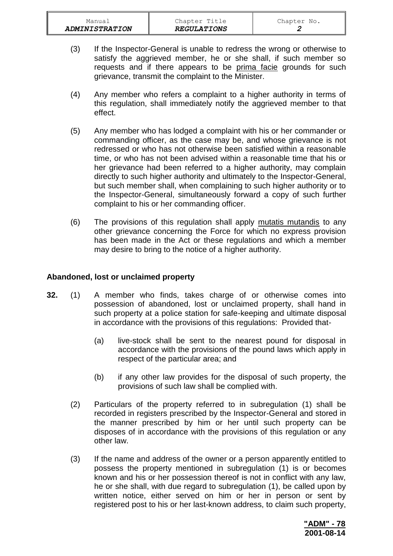- (3) If the Inspector-General is unable to redress the wrong or otherwise to satisfy the aggrieved member, he or she shall, if such member so requests and if there appears to be prima facie grounds for such grievance, transmit the complaint to the Minister.
- (4) Any member who refers a complaint to a higher authority in terms of this regulation, shall immediately notify the aggrieved member to that effect.
- (5) Any member who has lodged a complaint with his or her commander or commanding officer, as the case may be, and whose grievance is not redressed or who has not otherwise been satisfied within a reasonable time, or who has not been advised within a reasonable time that his or her grievance had been referred to a higher authority, may complain directly to such higher authority and ultimately to the Inspector-General, but such member shall, when complaining to such higher authority or to the Inspector-General, simultaneously forward a copy of such further complaint to his or her commanding officer.
- (6) The provisions of this regulation shall apply mutatis mutandis to any other grievance concerning the Force for which no express provision has been made in the Act or these regulations and which a member may desire to bring to the notice of a higher authority.

#### **Abandoned, lost or unclaimed property**

- **32.** (1) A member who finds, takes charge of or otherwise comes into possession of abandoned, lost or unclaimed property, shall hand in such property at a police station for safe-keeping and ultimate disposal in accordance with the provisions of this regulations: Provided that-
	- (a) live-stock shall be sent to the nearest pound for disposal in accordance with the provisions of the pound laws which apply in respect of the particular area; and
	- (b) if any other law provides for the disposal of such property, the provisions of such law shall be complied with.
	- (2) Particulars of the property referred to in subregulation (1) shall be recorded in registers prescribed by the Inspector-General and stored in the manner prescribed by him or her until such property can be disposes of in accordance with the provisions of this regulation or any other law.
	- (3) If the name and address of the owner or a person apparently entitled to possess the property mentioned in subregulation (1) is or becomes known and his or her possession thereof is not in conflict with any law, he or she shall, with due regard to subregulation (1), be called upon by written notice, either served on him or her in person or sent by registered post to his or her last-known address, to claim such property,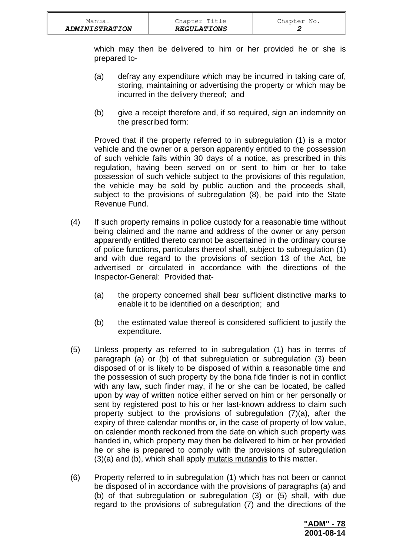which may then be delivered to him or her provided he or she is prepared to-

- (a) defray any expenditure which may be incurred in taking care of, storing, maintaining or advertising the property or which may be incurred in the delivery thereof; and
- (b) give a receipt therefore and, if so required, sign an indemnity on the prescribed form:

Proved that if the property referred to in subregulation (1) is a motor vehicle and the owner or a person apparently entitled to the possession of such vehicle fails within 30 days of a notice, as prescribed in this regulation, having been served on or sent to him or her to take possession of such vehicle subject to the provisions of this regulation, the vehicle may be sold by public auction and the proceeds shall, subject to the provisions of subregulation (8), be paid into the State Revenue Fund.

- (4) If such property remains in police custody for a reasonable time without being claimed and the name and address of the owner or any person apparently entitled thereto cannot be ascertained in the ordinary course of police functions, particulars thereof shall, subject to subregulation (1) and with due regard to the provisions of section 13 of the Act, be advertised or circulated in accordance with the directions of the Inspector-General: Provided that-
	- (a) the property concerned shall bear sufficient distinctive marks to enable it to be identified on a description; and
	- (b) the estimated value thereof is considered sufficient to justify the expenditure.
- (5) Unless property as referred to in subregulation (1) has in terms of paragraph (a) or (b) of that subregulation or subregulation (3) been disposed of or is likely to be disposed of within a reasonable time and the possession of such property by the bona fide finder is not in conflict with any law, such finder may, if he or she can be located, be called upon by way of written notice either served on him or her personally or sent by registered post to his or her last-known address to claim such property subject to the provisions of subregulation (7)(a), after the expiry of three calendar months or, in the case of property of low value, on calender month reckoned from the date on which such property was handed in, which property may then be delivered to him or her provided he or she is prepared to comply with the provisions of subregulation (3)(a) and (b), which shall apply mutatis mutandis to this matter.
- (6) Property referred to in subregulation (1) which has not been or cannot be disposed of in accordance with the provisions of paragraphs (a) and (b) of that subregulation or subregulation (3) or (5) shall, with due regard to the provisions of subregulation (7) and the directions of the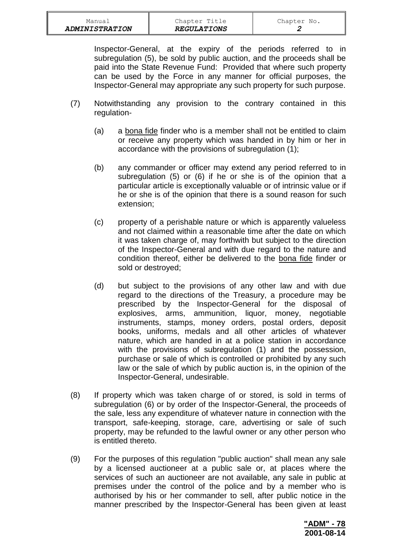| <b>ADMINISTRATION</b> | <b>REGULATIONS</b> |             |
|-----------------------|--------------------|-------------|
| Manual                | Chapter Title      | Chapter No. |

Inspector-General, at the expiry of the periods referred to in subregulation (5), be sold by public auction, and the proceeds shall be paid into the State Revenue Fund: Provided that where such property can be used by the Force in any manner for official purposes, the Inspector-General may appropriate any such property for such purpose.

- (7) Notwithstanding any provision to the contrary contained in this regulation-
	- (a) a bona fide finder who is a member shall not be entitled to claim or receive any property which was handed in by him or her in accordance with the provisions of subregulation (1);
	- (b) any commander or officer may extend any period referred to in subregulation (5) or (6) if he or she is of the opinion that a particular article is exceptionally valuable or of intrinsic value or if he or she is of the opinion that there is a sound reason for such extension;
	- (c) property of a perishable nature or which is apparently valueless and not claimed within a reasonable time after the date on which it was taken charge of, may forthwith but subject to the direction of the Inspector-General and with due regard to the nature and condition thereof, either be delivered to the bona fide finder or sold or destroyed;
	- (d) but subject to the provisions of any other law and with due regard to the directions of the Treasury, a procedure may be prescribed by the Inspector-General for the disposal of explosives, arms, ammunition, liquor, money, negotiable instruments, stamps, money orders, postal orders, deposit books, uniforms, medals and all other articles of whatever nature, which are handed in at a police station in accordance with the provisions of subregulation (1) and the possession, purchase or sale of which is controlled or prohibited by any such law or the sale of which by public auction is, in the opinion of the Inspector-General, undesirable.
- (8) If property which was taken charge of or stored, is sold in terms of subregulation (6) or by order of the Inspector-General, the proceeds of the sale, less any expenditure of whatever nature in connection with the transport, safe-keeping, storage, care, advertising or sale of such property, may be refunded to the lawful owner or any other person who is entitled thereto.
- (9) For the purposes of this regulation "public auction" shall mean any sale by a licensed auctioneer at a public sale or, at places where the services of such an auctioneer are not available, any sale in public at premises under the control of the police and by a member who is authorised by his or her commander to sell, after public notice in the manner prescribed by the Inspector-General has been given at least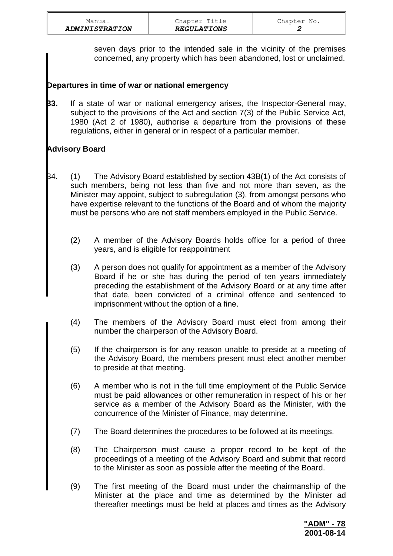| Manual                |  |
|-----------------------|--|
| <b>ADMINISTRATION</b> |  |

seven days prior to the intended sale in the vicinity of the premises concerned, any property which has been abandoned, lost or unclaimed.

## **Departures in time of war or national emergency**

**33.** If a state of war or national emergency arises, the Inspector-General may, subject to the provisions of the Act and section 7(3) of the Public Service Act, 1980 (Act 2 of 1980), authorise a departure from the provisions of these regulations, either in general or in respect of a particular member.

# **Advisory Board**

- 34. (1) The Advisory Board established by section 43B(1) of the Act consists of such members, being not less than five and not more than seven, as the Minister may appoint, subject to subregulation (3), from amongst persons who have expertise relevant to the functions of the Board and of whom the majority must be persons who are not staff members employed in the Public Service.
	- (2) A member of the Advisory Boards holds office for a period of three years, and is eligible for reappointment
	- (3) A person does not qualify for appointment as a member of the Advisory Board if he or she has during the period of ten years immediately preceding the establishment of the Advisory Board or at any time after that date, been convicted of a criminal offence and sentenced to imprisonment without the option of a fine.
	- (4) The members of the Advisory Board must elect from among their number the chairperson of the Advisory Board.
	- (5) If the chairperson is for any reason unable to preside at a meeting of the Advisory Board, the members present must elect another member to preside at that meeting.
	- (6) A member who is not in the full time employment of the Public Service must be paid allowances or other remuneration in respect of his or her service as a member of the Advisory Board as the Minister, with the concurrence of the Minister of Finance, may determine.
	- (7) The Board determines the procedures to be followed at its meetings.
	- (8) The Chairperson must cause a proper record to be kept of the proceedings of a meeting of the Advisory Board and submit that record to the Minister as soon as possible after the meeting of the Board.
	- (9) The first meeting of the Board must under the chairmanship of the Minister at the place and time as determined by the Minister ad thereafter meetings must be held at places and times as the Advisory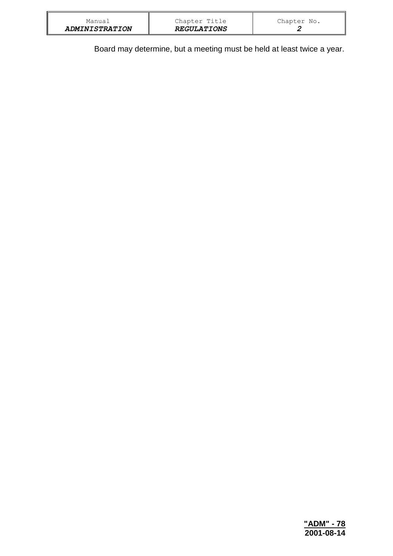| <b>ADMINISTRATION</b> | <b>REGULATIONS</b> |             |
|-----------------------|--------------------|-------------|
| Manual                | Chapter Title      | Chapter No. |

Board may determine, but a meeting must be held at least twice a year.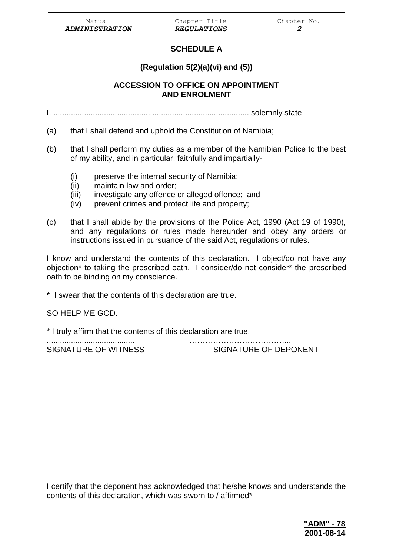# **SCHEDULE A**

# **(Regulation 5(2)(a)(vi) and (5))**

## **ACCESSION TO OFFICE ON APPOINTMENT AND ENROLMENT**

I, ......................................................................................... solemnly state

- (a) that I shall defend and uphold the Constitution of Namibia;
- (b) that I shall perform my duties as a member of the Namibian Police to the best of my ability, and in particular, faithfully and impartially-
	- (i) preserve the internal security of Namibia;
	- (ii) maintain law and order;
	- (iii) investigate any offence or alleged offence; and
	- (iv) prevent crimes and protect life and property;
- (c) that I shall abide by the provisions of the Police Act, 1990 (Act 19 of 1990), and any regulations or rules made hereunder and obey any orders or instructions issued in pursuance of the said Act, regulations or rules.

I know and understand the contents of this declaration. I object/do not have any objection\* to taking the prescribed oath. I consider/do not consider\* the prescribed oath to be binding on my conscience.

\* I swear that the contents of this declaration are true.

SO HELP ME GOD.

\* I truly affirm that the contents of this declaration are true.

........................................ ………………………………... SIGNATURE OF WITNESS SIGNATURE OF DEPONENT

I certify that the deponent has acknowledged that he/she knows and understands the contents of this declaration, which was sworn to / affirmed\*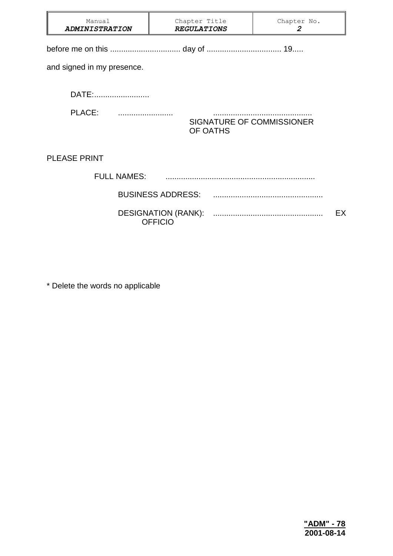| Manual<br><b>ADMINISTRATION</b> | Chapter Title<br><b>REGULATIONS</b>          |  | Chapter No.<br>$\boldsymbol{2}$ |    |  |  |
|---------------------------------|----------------------------------------------|--|---------------------------------|----|--|--|
|                                 |                                              |  |                                 |    |  |  |
| and signed in my presence.      |                                              |  |                                 |    |  |  |
| DATE:                           |                                              |  |                                 |    |  |  |
| PLACE:                          | SIGNATURE OF COMMISSIONER<br>OF OATHS        |  |                                 |    |  |  |
| <b>PLEASE PRINT</b>             |                                              |  |                                 |    |  |  |
| <b>FULL NAMES:</b>              |                                              |  |                                 |    |  |  |
|                                 | <b>BUSINESS ADDRESS:</b>                     |  |                                 |    |  |  |
|                                 | <b>DESIGNATION (RANK):</b><br><b>OFFICIO</b> |  |                                 | EX |  |  |

\* Delete the words no applicable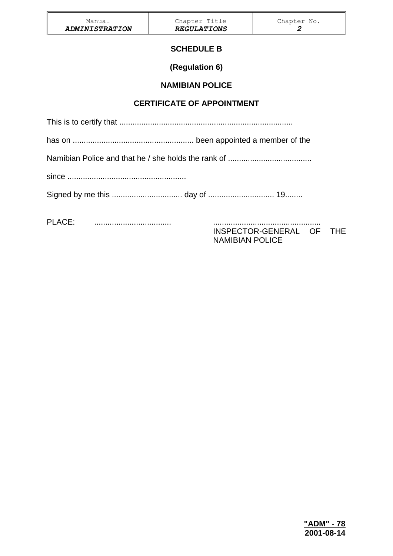## **SCHEDULE B**

**(Regulation 6)**

## **NAMIBIAN POLICE**

## **CERTIFICATE OF APPOINTMENT**

This is to certify that ...............................................................................

has on ....................................................... been appointed a member of the

Namibian Police and that he / she holds the rank of ......................................

since ......................................................

Signed by me this ................................ day of .............................. 19........

PLACE: ................................... .................................................

INSPECTOR-GENERAL OF THE NAMIBIAN POLICE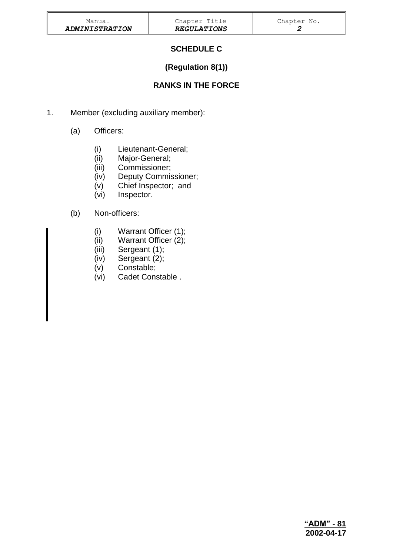# **SCHEDULE C**

# **(Regulation 8(1))**

# **RANKS IN THE FORCE**

- 1. Member (excluding auxiliary member):
	- (a) Officers:
		- (i) Lieutenant-General;
		- (ii) Major-General;
		- (iii) Commissioner;
		- (iv) Deputy Commissioner;
		- (v) Chief Inspector; and
		- (vi) Inspector.

## (b) Non-officers:

- (i) Warrant Officer (1);
- (ii) Warrant Officer (2);
- (iii) Sergeant (1);
- (iv) Sergeant (2);
- (v) Constable;
- (vi) Cadet Constable .